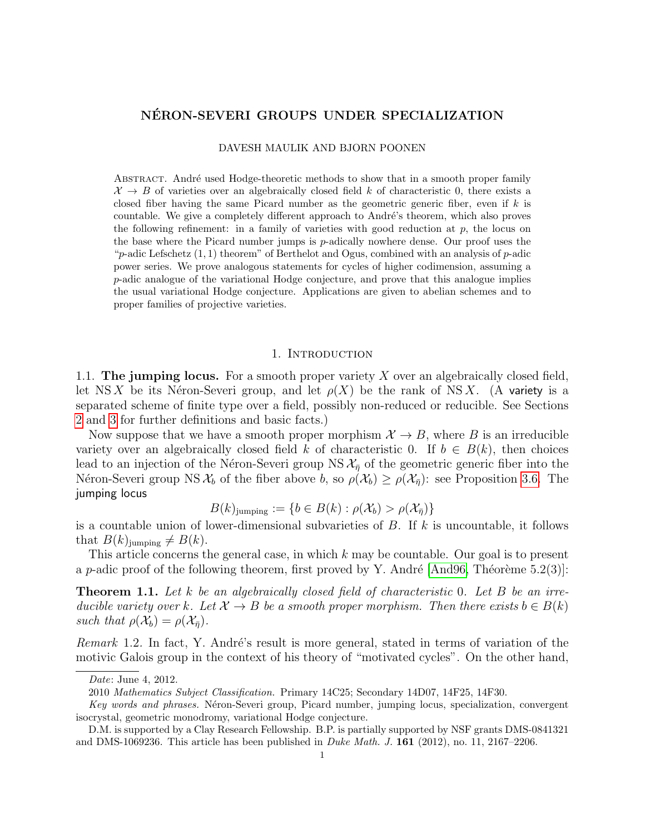# NERON-SEVERI GROUPS UNDER SPECIALIZATION ´

#### DAVESH MAULIK AND BJORN POONEN

ABSTRACT. André used Hodge-theoretic methods to show that in a smooth proper family  $\mathcal{X} \to B$  of varieties over an algebraically closed field k of characteristic 0, there exists a closed fiber having the same Picard number as the geometric generic fiber, even if  $k$  is countable. We give a completely different approach to André's theorem, which also proves the following refinement: in a family of varieties with good reduction at  $p$ , the locus on the base where the Picard number jumps is p-adically nowhere dense. Our proof uses the " $p$ -adic Lefschetz  $(1, 1)$  theorem" of Berthelot and Ogus, combined with an analysis of  $p$ -adic power series. We prove analogous statements for cycles of higher codimension, assuming a p-adic analogue of the variational Hodge conjecture, and prove that this analogue implies the usual variational Hodge conjecture. Applications are given to abelian schemes and to proper families of projective varieties.

#### 1. INTRODUCTION

<span id="page-0-1"></span>1.1. The jumping locus. For a smooth proper variety  $X$  over an algebraically closed field, let NS X be its Néron-Severi group, and let  $\rho(X)$  be the rank of NS X. (A variety is a separated scheme of finite type over a field, possibly non-reduced or reducible. See Sections [2](#page-4-0) and [3](#page-4-1) for further definitions and basic facts.)

Now suppose that we have a smooth proper morphism  $\mathcal{X} \to B$ , where B is an irreducible variety over an algebraically closed field k of characteristic 0. If  $b \in B(k)$ , then choices lead to an injection of the Néron-Severi group NS  $\mathcal{X}_{\bar{n}}$  of the geometric generic fiber into the Néron-Severi group NS  $\mathcal{X}_b$  of the fiber above b, so  $\rho(\mathcal{X}_b) \geq \rho(\mathcal{X}_{\overline{\eta}})$ : see Proposition [3.6.](#page-6-0) The jumping locus

$$
B(k)_{\text{jumping}} := \{ b \in B(k) : \rho(\mathcal{X}_b) > \rho(\mathcal{X}_{\bar{\eta}}) \}
$$

is a countable union of lower-dimensional subvarieties of  $B$ . If  $k$  is uncountable, it follows that  $B(k)_{\text{jumping}} \neq B(k)$ .

This article concerns the general case, in which k may be countable. Our goal is to present a p-adic proof of the following theorem, first proved by Y. André  $|And96, Théorème 5.2(3)|$ :

<span id="page-0-0"></span>**Theorem 1.1.** Let k be an algebraically closed field of characteristic 0. Let B be an irreducible variety over k. Let  $\mathcal{X} \to B$  be a smooth proper morphism. Then there exists  $b \in B(k)$ such that  $\rho(\mathcal{X}_b) = \rho(\mathcal{X}_{\bar{n}})$ .

<span id="page-0-2"></span>Remark 1.2. In fact, Y. André's result is more general, stated in terms of variation of the motivic Galois group in the context of his theory of "motivated cycles". On the other hand,

Date: June 4, 2012.

<sup>2010</sup> Mathematics Subject Classification. Primary 14C25; Secondary 14D07, 14F25, 14F30.

Key words and phrases. Néron-Severi group, Picard number, jumping locus, specialization, convergent isocrystal, geometric monodromy, variational Hodge conjecture.

D.M. is supported by a Clay Research Fellowship. B.P. is partially supported by NSF grants DMS-0841321 and DMS-1069236. This article has been published in *Duke Math. J.* **161** (2012), no. 11, 2167–2206.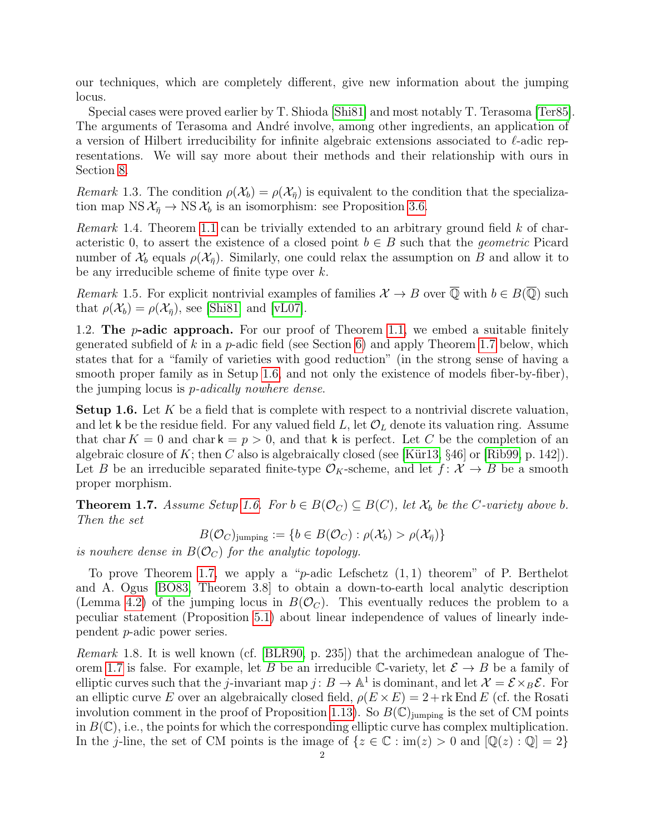our techniques, which are completely different, give new information about the jumping locus.

Special cases were proved earlier by T. Shioda [\[Shi81\]](#page-28-0) and most notably T. Terasoma [\[Ter85\]](#page-28-1). The arguments of Terasoma and André involve, among other ingredients, an application of a version of Hilbert irreducibility for infinite algebraic extensions associated to  $\ell$ -adic representations. We will say more about their methods and their relationship with ours in Section [8.](#page-19-0)

Remark 1.3. The condition  $\rho(\mathcal{X}_b) = \rho(\mathcal{X}_n)$  is equivalent to the condition that the specialization map NS  $\mathcal{X}_{\bar{\eta}} \to \text{NS } \mathcal{X}_b$  is an isomorphism: see Proposition [3.6.](#page-6-0)

*Remark* 1.4. Theorem [1.1](#page-0-0) can be trivially extended to an arbitrary ground field  $k$  of characteristic 0, to assert the existence of a closed point  $b \in B$  such that the *geometric* Picard number of  $\mathcal{X}_b$  equals  $\rho(\mathcal{X}_{\bar{n}})$ . Similarly, one could relax the assumption on B and allow it to be any irreducible scheme of finite type over k.

<span id="page-1-3"></span>Remark 1.5. For explicit nontrivial examples of families  $\mathcal{X} \to B$  over  $\overline{\mathbb{Q}}$  with  $b \in B(\overline{\mathbb{Q}})$  such that  $\rho(\mathcal{X}_b) = \rho(\mathcal{X}_{\bar{n}})$ , see [\[Shi81\]](#page-28-0) and [\[vL07\]](#page-28-2).

1.2. The *p*-adic approach. For our proof of Theorem [1.1,](#page-0-0) we embed a suitable finitely generated subfield of k in a p-adic field (see Section [6\)](#page-18-0) and apply Theorem [1.7](#page-1-0) below, which states that for a "family of varieties with good reduction" (in the strong sense of having a smooth proper family as in Setup [1.6,](#page-1-1) and not only the existence of models fiber-by-fiber), the jumping locus is p-adically nowhere dense.

<span id="page-1-1"></span>**Setup 1.6.** Let  $K$  be a field that is complete with respect to a nontrivial discrete valuation, and let k be the residue field. For any valued field L, let  $\mathcal{O}_L$  denote its valuation ring. Assume that char  $K = 0$  and char  $k = p > 0$ , and that k is perfect. Let C be the completion of an algebraic closure of K; then C also is algebraically closed (see [Kür13,  $\S 46$ ] or [\[Rib99,](#page-27-1) p. 142]). Let B be an irreducible separated finite-type  $\mathcal{O}_K$ -scheme, and let  $f: \mathcal{X} \to B$  be a smooth proper morphism.

<span id="page-1-0"></span>**Theorem 1.7.** Assume Setup [1.6.](#page-1-1) For  $b \in B(\mathcal{O}_C) \subseteq B(C)$ , let  $\mathcal{X}_b$  be the C-variety above b. Then the set

 $B(\mathcal{O}_C)$ jumping :=  $\{b \in B(\mathcal{O}_C) : \rho(\mathcal{X}_b) > \rho(\mathcal{X}_{\overline{\eta}})\}\$ 

is nowhere dense in  $B(\mathcal{O}_C)$  for the analytic topology.

To prove Theorem [1.7,](#page-1-0) we apply a "p-adic Lefschetz  $(1, 1)$  theorem" of P. Berthelot and A. Ogus [\[BO83,](#page-26-1) Theorem 3.8] to obtain a down-to-earth local analytic description (Lemma [4.2\)](#page-8-0) of the jumping locus in  $B(\mathcal{O}_C)$ . This eventually reduces the problem to a peculiar statement (Proposition [5.1\)](#page-16-0) about linear independence of values of linearly independent p-adic power series.

<span id="page-1-2"></span>Remark 1.8. It is well known (cf. [\[BLR90,](#page-26-2) p. 235]) that the archimedean analogue of The-orem [1.7](#page-1-0) is false. For example, let B be an irreducible C-variety, let  $\mathcal{E} \to B$  be a family of elliptic curves such that the *j*-invariant map  $j: B \to \mathbb{A}^1$  is dominant, and let  $\mathcal{X} = \mathcal{E} \times_B \mathcal{E}$ . For an elliptic curve E over an algebraically closed field,  $\rho(E \times E) = 2 + \text{rk End } E$  (cf. the Rosati involution comment in the proof of Proposition [1.13\)](#page-2-0). So  $B(\mathbb{C})$ <sub>iumping</sub> is the set of CM points in  $B(\mathbb{C})$ , i.e., the points for which the corresponding elliptic curve has complex multiplication. In the j-line, the set of CM points is the image of  $\{z \in \mathbb{C} : \text{im}(z) > 0 \text{ and } [\mathbb{Q}(z) : \mathbb{Q}] = 2\}$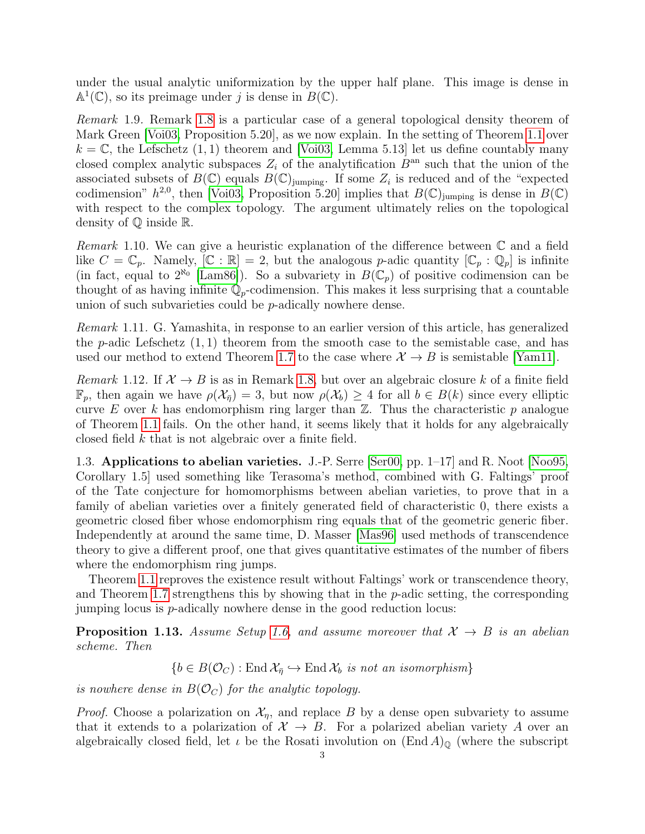under the usual analytic uniformization by the upper half plane. This image is dense in  $\mathbb{A}^1(\mathbb{C})$ , so its preimage under j is dense in  $B(\mathbb{C})$ .

<span id="page-2-3"></span>Remark 1.9. Remark [1.8](#page-1-2) is a particular case of a general topological density theorem of Mark Green [\[Voi03,](#page-28-3) Proposition 5.20], as we now explain. In the setting of Theorem [1.1](#page-0-0) over  $k = \mathbb{C}$ , the Lefschetz  $(1, 1)$  theorem and [\[Voi03,](#page-28-3) Lemma 5.13] let us define countably many closed complex analytic subspaces  $Z_i$  of the analytification  $B^{an}$  such that the union of the associated subsets of  $B(\mathbb{C})$  equals  $B(\mathbb{C})$ <sub>jumping</sub>. If some  $Z_i$  is reduced and of the "expected" codimension"  $h^{2,0}$ , then [\[Voi03,](#page-28-3) Proposition 5.20] implies that  $B(\mathbb{C})$ <sub>jumping</sub> is dense in  $B(\mathbb{C})$ with respect to the complex topology. The argument ultimately relies on the topological density of Q inside R.

<span id="page-2-1"></span>*Remark* 1.10. We can give a heuristic explanation of the difference between  $\mathbb C$  and a field like  $C = \mathbb{C}_p$ . Namely,  $[\mathbb{C} : \mathbb{R}] = 2$ , but the analogous p-adic quantity  $[\mathbb{C}_p : \mathbb{Q}_p]$  is infinite (in fact, equal to  $2^{\aleph_0}$  [\[Lam86\]](#page-27-2)). So a subvariety in  $B(\mathbb{C}_p)$  of positive codimension can be thought of as having infinite  $\mathbb{Q}_p$ -codimension. This makes it less surprising that a countable union of such subvarieties could be p-adically nowhere dense.

<span id="page-2-4"></span>Remark 1.11. G. Yamashita, in response to an earlier version of this article, has generalized the p-adic Lefschetz  $(1, 1)$  theorem from the smooth case to the semistable case, and has used our method to extend Theorem [1.7](#page-1-0) to the case where  $\mathcal{X} \to B$  is semistable [\[Yam11\]](#page-28-4).

Remark 1.12. If  $\mathcal{X} \to B$  is as in Remark [1.8,](#page-1-2) but over an algebraic closure k of a finite field  $\mathbb{F}_p$ , then again we have  $\rho(\mathcal{X}_{\bar{n}})=3$ , but now  $\rho(\mathcal{X}_b)\geq 4$  for all  $b\in B(k)$  since every elliptic curve E over k has endomorphism ring larger than  $\mathbb{Z}$ . Thus the characteristic p analogue of Theorem [1.1](#page-0-0) fails. On the other hand, it seems likely that it holds for any algebraically closed field k that is not algebraic over a finite field.

<span id="page-2-2"></span>1.3. Applications to abelian varieties. J.-P. Serre [\[Ser00,](#page-28-5) pp. 1–17] and R. Noot [\[Noo95,](#page-27-3) Corollary 1.5] used something like Terasoma's method, combined with G. Faltings' proof of the Tate conjecture for homomorphisms between abelian varieties, to prove that in a family of abelian varieties over a finitely generated field of characteristic 0, there exists a geometric closed fiber whose endomorphism ring equals that of the geometric generic fiber. Independently at around the same time, D. Masser [\[Mas96\]](#page-27-4) used methods of transcendence theory to give a different proof, one that gives quantitative estimates of the number of fibers where the endomorphism ring jumps.

Theorem [1.1](#page-0-0) reproves the existence result without Faltings' work or transcendence theory, and Theorem [1.7](#page-1-0) strengthens this by showing that in the  $p$ -adic setting, the corresponding jumping locus is  $p$ -adically nowhere dense in the good reduction locus:

<span id="page-2-0"></span>**Proposition 1.13.** Assume Setup [1.6,](#page-1-1) and assume moreover that  $X \rightarrow B$  is an abelian scheme. Then

$$
\{b \in B(\mathcal{O}_C) : \text{End } \mathcal{X}_{\bar{\eta}} \hookrightarrow \text{End } \mathcal{X}_b \text{ is not an isomorphism}\}
$$

is nowhere dense in  $B(\mathcal{O}_C)$  for the analytic topology.

*Proof.* Choose a polarization on  $\mathcal{X}_n$ , and replace B by a dense open subvariety to assume that it extends to a polarization of  $\mathcal{X} \to B$ . For a polarized abelian variety A over an algebraically closed field, let  $\iota$  be the Rosati involution on  $(End A)_{\mathbb{Q}}$  (where the subscript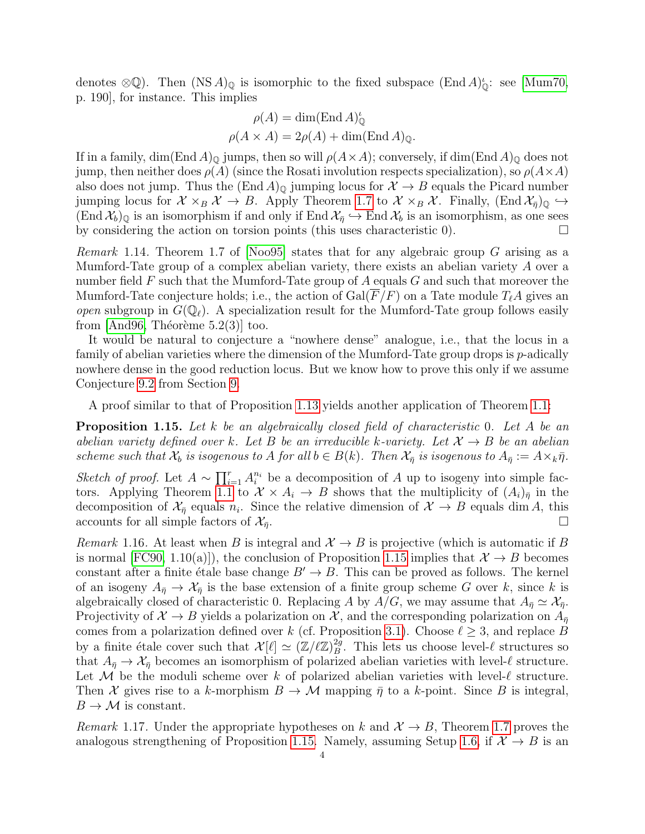denotes  $\otimes \mathbb{Q}$ ). Then  $(NSA)_{\mathbb{Q}}$  is isomorphic to the fixed subspace  $(End A)_{\mathbb{Q}}^{\iota}$ : see [\[Mum70,](#page-27-5) p. 190], for instance. This implies

$$
\rho(A) = \dim(\text{End } A)_{\mathbb{Q}}^{\iota}
$$

$$
\rho(A \times A) = 2\rho(A) + \dim(\text{End } A)_{\mathbb{Q}}.
$$

If in a family, dim(End A)<sub>Q</sub> jumps, then so will  $\rho(A \times A)$ ; conversely, if dim(End A)<sub>Q</sub> does not jump, then neither does  $\rho(A)$  (since the Rosati involution respects specialization), so  $\rho(A \times A)$ also does not jump. Thus the  $(End A)_{\Omega}$  jumping locus for  $\mathcal{X} \to B$  equals the Picard number jumping locus for  $\mathcal{X} \times_B \mathcal{X} \to B$ . Apply Theorem [1.7](#page-1-0) to  $\mathcal{X} \times_B \mathcal{X}$ . Finally,  $(\text{End} \chi_{\bar{\eta}})_{\mathbb{Q}} \hookrightarrow$  $(\text{End }\mathcal{X}_b)_{\mathbb{Q}}$  is an isomorphism if and only if End  $\mathcal{X}_{\bar{\eta}} \hookrightarrow$  End  $\mathcal{X}_b$  is an isomorphism, as one sees by considering the action on torsion points (this uses characteristic 0).  $\Box$ 

<span id="page-3-1"></span>*Remark* 1.14. Theorem 1.7 of [\[Noo95\]](#page-27-3) states that for any algebraic group G arising as a Mumford-Tate group of a complex abelian variety, there exists an abelian variety A over a number field  $F$  such that the Mumford-Tate group of  $A$  equals  $G$  and such that moreover the Mumford-Tate conjecture holds; i.e., the action of  $Gal(F/F)$  on a Tate module  $T_fA$  gives an *open* subgroup in  $G(\mathbb{Q}_\ell)$ . A specialization result for the Mumford-Tate group follows easily from  $[And96, Théorème 5.2(3)]$  $[And96, Théorème 5.2(3)]$  too.

It would be natural to conjecture a "nowhere dense" analogue, i.e., that the locus in a family of abelian varieties where the dimension of the Mumford-Tate group drops is p-adically nowhere dense in the good reduction locus. But we know how to prove this only if we assume Conjecture [9.2](#page-23-0) from Section [9.](#page-22-0)

A proof similar to that of Proposition [1.13](#page-2-0) yields another application of Theorem [1.1:](#page-0-0)

<span id="page-3-0"></span>**Proposition 1.15.** Let k be an algebraically closed field of characteristic 0. Let A be an abelian variety defined over k. Let B be an irreducible k-variety. Let  $\mathcal{X} \to B$  be an abelian scheme such that  $\mathcal{X}_b$  is isogenous to A for all  $b \in B(k)$ . Then  $\mathcal{X}_{\overline{\eta}}$  is isogenous to  $A_{\overline{\eta}} := A \times_k \overline{\eta}$ .

Sketch of proof. Let  $A \sim \prod_{i=1}^r A_i^{n_i}$  be a decomposition of A up to isogeny into simple fac-tors. Applying Theorem [1.1](#page-0-0) to  $\mathcal{X} \times A_i \to B$  shows that the multiplicity of  $(A_i)_{\bar{\eta}}$  in the decomposition of  $\mathcal{X}_{\bar{\eta}}$  equals  $n_i$ . Since the relative dimension of  $\mathcal{X} \to B$  equals dim A, this accounts for all simple factors of  $\mathcal{X}_{\bar{\eta}}$ .

<span id="page-3-2"></span>Remark 1.16. At least when B is integral and  $\mathcal{X} \to B$  is projective (which is automatic if B is normal [\[FC90,](#page-26-3) 1.10(a)]), the conclusion of Proposition [1.15](#page-3-0) implies that  $\mathcal{X} \to B$  becomes constant after a finite étale base change  $B' \to B$ . This can be proved as follows. The kernel of an isogeny  $A_{\bar{p}} \to X_{\bar{p}}$  is the base extension of a finite group scheme G over k, since k is algebraically closed of characteristic 0. Replacing A by  $A/G$ , we may assume that  $A_{\bar{n}} \simeq \mathcal{X}_{\bar{n}}$ . Projectivity of  $\mathcal{X} \to B$  yields a polarization on  $\mathcal{X}$ , and the corresponding polarization on  $A_{\bar{\eta}}$ comes from a polarization defined over k (cf. Proposition [3.1\)](#page-5-0). Choose  $\ell \geq 3$ , and replace B by a finite étale cover such that  $\mathcal{X}[\ell] \simeq (\mathbb{Z}/\ell\mathbb{Z})_B^{2g}$  $B^2$ . This lets us choose level- $\ell$  structures so that  $A_{\bar{\eta}} \to X_{\bar{\eta}}$  becomes an isomorphism of polarized abelian varieties with level- $\ell$  structure. Let M be the moduli scheme over k of polarized abelian varieties with level- $\ell$  structure. Then X gives rise to a k-morphism  $B \to \mathcal{M}$  mapping  $\bar{\eta}$  to a k-point. Since B is integral,  $B \to \mathcal{M}$  is constant.

Remark 1.17. Under the appropriate hypotheses on k and  $\mathcal{X} \to B$ , Theorem [1.7](#page-1-0) proves the analogous strengthening of Proposition [1.15.](#page-3-0) Namely, assuming Setup [1.6,](#page-1-1) if  $\mathcal{X} \to B$  is an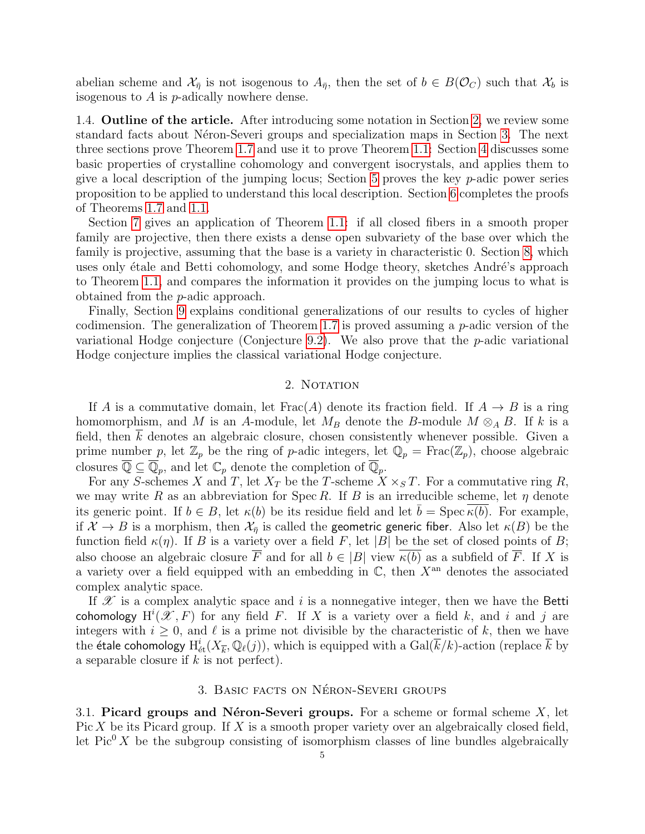abelian scheme and  $\mathcal{X}_{\bar{\eta}}$  is not isogenous to  $A_{\bar{\eta}}$ , then the set of  $b \in B(\mathcal{O}_C)$  such that  $\mathcal{X}_b$  is isogenous to  $A$  is  $p$ -adically nowhere dense.

1.4. Outline of the article. After introducing some notation in Section [2,](#page-4-0) we review some standard facts about Néron-Severi groups and specialization maps in Section [3.](#page-4-1) The next three sections prove Theorem [1.7](#page-1-0) and use it to prove Theorem [1.1:](#page-0-0) Section [4](#page-7-0) discusses some basic properties of crystalline cohomology and convergent isocrystals, and applies them to give a local description of the jumping locus; Section [5](#page-16-1) proves the key  $p$ -adic power series proposition to be applied to understand this local description. Section [6](#page-18-0) completes the proofs of Theorems [1.7](#page-1-0) and [1.1.](#page-0-0)

Section [7](#page-19-1) gives an application of Theorem [1.1:](#page-0-0) if all closed fibers in a smooth proper family are projective, then there exists a dense open subvariety of the base over which the family is projective, assuming that the base is a variety in characteristic 0. Section [8,](#page-19-0) which uses only étale and Betti cohomology, and some Hodge theory, sketches André's approach to Theorem [1.1,](#page-0-0) and compares the information it provides on the jumping locus to what is obtained from the p-adic approach.

Finally, Section [9](#page-22-0) explains conditional generalizations of our results to cycles of higher codimension. The generalization of Theorem [1.7](#page-1-0) is proved assuming a  $p$ -adic version of the variational Hodge conjecture (Conjecture [9.2\)](#page-23-0). We also prove that the  $p$ -adic variational Hodge conjecture implies the classical variational Hodge conjecture.

#### 2. NOTATION

<span id="page-4-0"></span>If A is a commutative domain, let  $Frac(A)$  denote its fraction field. If  $A \rightarrow B$  is a ring homomorphism, and M is an A-module, let  $M_B$  denote the B-module  $M \otimes_A B$ . If k is a field, then k denotes an algebraic closure, chosen consistently whenever possible. Given a prime number p, let  $\mathbb{Z}_p$  be the ring of p-adic integers, let  $\mathbb{Q}_p = \text{Frac}(\mathbb{Z}_p)$ , choose algebraic closures  $\overline{\mathbb{Q}} \subseteq \overline{\mathbb{Q}}_p$ , and let  $\mathbb{C}_p$  denote the completion of  $\overline{\mathbb{Q}}_p$ .

For any S-schemes X and T, let  $X_T$  be the T-scheme  $X \times_S T$ . For a commutative ring R, we may write R as an abbreviation for Spec R. If B is an irreducible scheme, let  $\eta$  denote its generic point. If  $b \in B$ , let  $\kappa(b)$  be its residue field and let  $b = \text{Spec } \kappa(b)$ . For example, if  $\mathcal{X} \to B$  is a morphism, then  $\mathcal{X}_{\bar{\eta}}$  is called the geometric generic fiber. Also let  $\kappa(B)$  be the function field  $\kappa(\eta)$ . If B is a variety over a field F, let |B| be the set of closed points of B; also choose an algebraic closure  $\overline{F}$  and for all  $b \in |B|$  view  $\overline{\kappa(b)}$  as a subfield of  $\overline{F}$ . If X is a variety over a field equipped with an embedding in  $\mathbb{C}$ , then  $X^{\text{an}}$  denotes the associated complex analytic space.

If  $\mathscr X$  is a complex analytic space and i is a nonnegative integer, then we have the Betti cohomology  $H^{i}(\mathscr{X}, F)$  for any field F. If X is a variety over a field k, and i and j are integers with  $i \geq 0$ , and  $\ell$  is a prime not divisible by the characteristic of k, then we have the étale cohomology  ${\rm H}^i_{\rm \acute{e}t}(X_{\overline{k}},\mathbb Q_\ell(j)),$  which is equipped with a  $\mathrm{Gal}(\overline{k}/k)$ -action (replace  $\overline{k}$  by a separable closure if  $k$  is not perfect).

### 3. BASIC FACTS ON NÉRON-SEVERI GROUPS

<span id="page-4-2"></span><span id="page-4-1"></span>3.1. Picard groups and Néron-Severi groups. For a scheme or formal scheme  $X$ , let Pic X be its Picard group. If X is a smooth proper variety over an algebraically closed field, let  $Pic^{0} X$  be the subgroup consisting of isomorphism classes of line bundles algebraically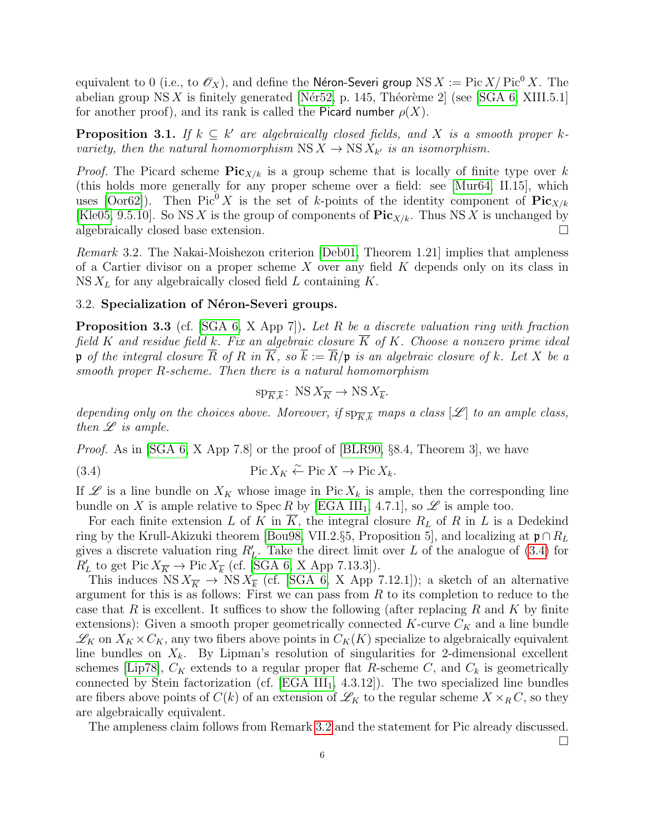equivalent to 0 (i.e., to  $\mathscr{O}_X$ ), and define the Néron-Severi group NS  $X := \text{Pic }X/\text{Pic}^0 X$ . The abelian group  $NS X$  is finitely generated [Nér52, p. 145, Théorème 2] (see [\[SGA 6,](#page-28-6) XIII.5.1] for another proof), and its rank is called the Picard number  $\rho(X)$ .

<span id="page-5-0"></span>**Proposition 3.1.** If  $k \subseteq k'$  are algebraically closed fields, and X is a smooth proper kvariety, then the natural homomorphism  $\text{NS } X \to \text{NS } X_{k'}$  is an isomorphism.

*Proof.* The Picard scheme  $\text{Pic}_{X/k}$  is a group scheme that is locally of finite type over k (this holds more generally for any proper scheme over a field: see [\[Mur64,](#page-27-7) II.15], which uses [\[Oor62\]](#page-27-8)). Then Pic<sup>0</sup> X is the set of k-points of the identity component of  $\text{Pic}_{X/k}$ [\[Kle05,](#page-27-9) 9.5.10]. So NS X is the group of components of  $\text{Pic}_{X/k}$ . Thus NS X is unchanged by algebraically closed base extension.

<span id="page-5-2"></span>Remark 3.2. The Nakai-Moishezon criterion [\[Deb01,](#page-26-4) Theorem 1.21] implies that ampleness of a Cartier divisor on a proper scheme  $X$  over any field  $K$  depends only on its class in  $NS X_L$  for any algebraically closed field L containing K.

### <span id="page-5-4"></span>3.2. Specialization of Néron-Severi groups.

<span id="page-5-3"></span>**Proposition 3.3** (cf. [\[SGA 6,](#page-28-6) X App 7]). Let R be a discrete valuation ring with fraction field K and residue field k. Fix an algebraic closure  $\overline{K}$  of K. Choose a nonzero prime ideal p of the integral closure  $\overline{R}$  of R in  $\overline{K}$ , so  $\overline{k} := \overline{R}/p$  is an algebraic closure of k. Let X be a smooth proper R-scheme. Then there is a natural homomorphism

<span id="page-5-1"></span>
$$
\text{sp}_{\overline{K},\overline{k}}\colon \operatorname{NS} X_{\overline{K}} \to \operatorname{NS} X_{\overline{k}}.
$$

depending only on the choices above. Moreover, if  $sp_{\overline{K},\overline{k}}$  maps a class  $[\mathscr{L}]$  to an ample class, then  $\mathscr L$  is ample.

*Proof.* As in [\[SGA 6,](#page-28-6) X App 7.8] or the proof of [\[BLR90,](#page-26-2)  $\S 8.4$ , Theorem 3], we have

(3.4) 
$$
\operatorname{Pic} X_K \stackrel{\sim}{\leftarrow} \operatorname{Pic} X \to \operatorname{Pic} X_k.
$$

If  $\mathscr L$  is a line bundle on  $X_K$  whose image in Pic  $X_k$  is ample, then the corresponding line bundle on X is ample relative to Spec R by [\[EGA III](#page-26-5)<sub>1</sub>, 4.7.1], so  $\mathscr L$  is ample too.

For each finite extension L of K in  $\overline{K}$ , the integral closure  $R_L$  of R in L is a Dedekind ring by the Krull-Akizuki theorem [\[Bou98,](#page-26-6) VII.2.§5, Proposition 5], and localizing at  $\mathfrak{p} \cap R_L$ gives a discrete valuation ring  $R'_L$ . Take the direct limit over L of the analogue of [\(3.4\)](#page-5-1) for  $R'_L$  to get Pic  $X_{\overline{K}} \to \text{Pic } X_{\overline{k}}$  (cf. [\[SGA 6,](#page-28-6) X App 7.13.3]).

This induces  $NS X_{\overline{K}} \to NS X_{\overline{k}}$  (cf. [\[SGA 6,](#page-28-6) X App 7.12.1]); a sketch of an alternative argument for this is as follows: First we can pass from  $R$  to its completion to reduce to the case that R is excellent. It suffices to show the following (after replacing R and K by finite extensions): Given a smooth proper geometrically connected  $K$ -curve  $C_K$  and a line bundle  $\mathscr{L}_K$  on  $X_K \times C_K$ , any two fibers above points in  $C_K(K)$  specialize to algebraically equivalent line bundles on  $X_k$ . By Lipman's resolution of singularities for 2-dimensional excellent schemes [\[Lip78\]](#page-27-10),  $C_K$  extends to a regular proper flat R-scheme C, and  $C_k$  is geometrically connected by Stein factorization (cf.  $[EGA III<sub>1</sub>, 4.3.12]$  $[EGA III<sub>1</sub>, 4.3.12]$ ). The two specialized line bundles are fibers above points of  $C(k)$  of an extension of  $\mathscr{L}_K$  to the regular scheme  $X \times_R C$ , so they are algebraically equivalent.

The ampleness claim follows from Remark [3.2](#page-5-2) and the statement for Pic already discussed.

 $\Box$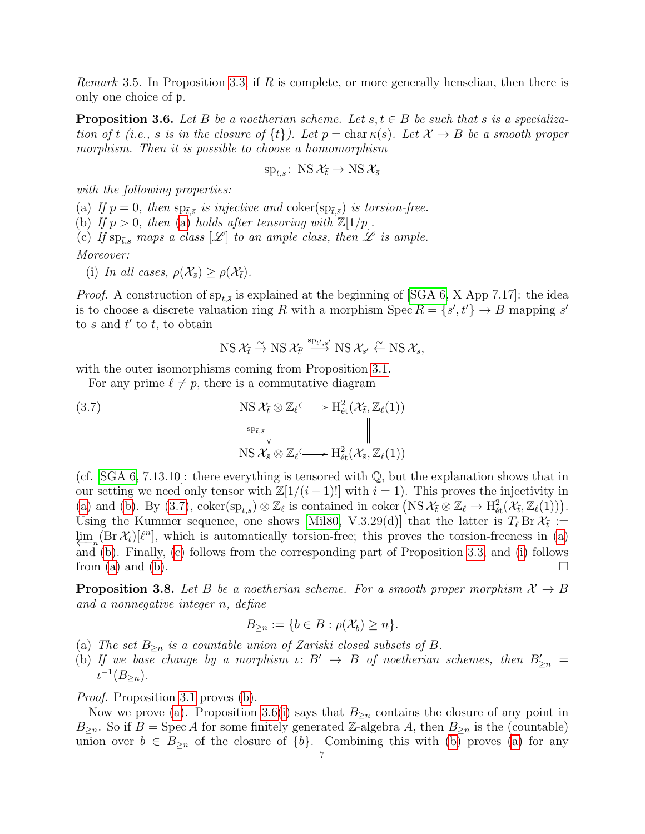*Remark* 3.5. In Proposition [3.3,](#page-5-3) if R is complete, or more generally henselian, then there is only one choice of p.

<span id="page-6-0"></span>**Proposition 3.6.** Let B be a noetherian scheme. Let  $s, t \in B$  be such that s is a specialization of t (i.e., s is in the closure of  $\{t\}$ ). Let  $p = \text{char } \kappa(s)$ . Let  $\mathcal{X} \to B$  be a smooth proper morphism. Then it is possible to choose a homomorphism

$$
\mathrm{sp}_{\bar{t},\bar{s}}\colon\operatorname{NS}\mathcal{X}_{\bar{t}}\to\operatorname{NS}\mathcal{X}_{\bar{s}}
$$

with the following properties:

<span id="page-6-4"></span><span id="page-6-2"></span><span id="page-6-1"></span>(a) If  $p = 0$ , then  $sp_{\bar{t},\bar{s}}$  is injective and coker( $sp_{\bar{t},\bar{s}}$ ) is torsion-free. (b) If  $p > 0$ , then [\(a\)](#page-6-1) holds after tensoring with  $\mathbb{Z}[1/p]$ . (c) If  $sp_{\bar{t},\bar{s}}$  maps a class  $[\mathscr{L}]$  to an ample class, then  $\mathscr{L}$  is ample. Moreover:

<span id="page-6-5"></span>(i) In all cases,  $\rho(\mathcal{X}_{\bar{s}}) \geq \rho(\mathcal{X}_{\bar{t}})$ .

*Proof.* A construction of  $sp_{\bar{t},\bar{s}}$  is explained at the beginning of [\[SGA 6,](#page-28-6) X App 7.17]: the idea is to choose a discrete valuation ring R with a morphism Spec  $R = \{s', t'\} \rightarrow B$  mapping s' to s and  $t'$  to t, to obtain

<span id="page-6-3"></span>
$$
\operatorname{NS} \mathcal{X}_{\bar{t}} \stackrel{\sim}{\to} \operatorname{NS} \mathcal{X}_{\bar{t'}} \stackrel{\operatorname{sp}_{\bar{t'},\bar{s'}}}{\longrightarrow} \operatorname{NS} \mathcal{X}_{\bar{s'}} \stackrel{\sim}{\leftarrow} \operatorname{NS} \mathcal{X}_{\bar{s}},
$$

with the outer isomorphisms coming from Proposition [3.1.](#page-5-0)

For any prime  $\ell \neq p$ , there is a commutative diagram

(3.7)  
\n
$$
\operatorname{NS} \mathcal{X}_{\bar{t}} \otimes \mathbb{Z}_{\ell} \longrightarrow \operatorname{H}_{\text{\'et}}^2(\mathcal{X}_{\bar{t}}, \mathbb{Z}_{\ell}(1))
$$
\n
$$
\operatorname{NS} \mathcal{X}_{\bar{s}} \otimes \mathbb{Z}_{\ell} \longrightarrow \operatorname{H}_{\text{\'et}}^2(\mathcal{X}_{\bar{s}}, \mathbb{Z}_{\ell}(1))
$$

(cf.  $[SGA 6, 7.13.10]$  $[SGA 6, 7.13.10]$ : there everything is tensored with  $\mathbb{Q}$ , but the explanation shows that in our setting we need only tensor with  $\mathbb{Z}[1/(i-1)!]$  with  $i=1$ ). This proves the injectivity in [\(a\)](#page-6-1) and [\(b\)](#page-6-2). By [\(3.7\)](#page-6-3),  $\text{coker}(\text{sp}_{\bar{t},\bar{s}}) \otimes \mathbb{Z}_{\ell}$  is contained in  $\text{coker}(\text{NS } \mathcal{X}_{\bar{t}} \otimes \mathbb{Z}_{\ell} \to \text{H}_{\text{\'et}}^2(\mathcal{X}_{\bar{t}}, \mathbb{Z}_{\ell}(1)))$ . Using the Kummer sequence, one shows [\[Mil80,](#page-27-11) V.3.29(d)] that the latter is  $T_\ell$  Br  $\mathcal{X}_{\bar{t}} :=$  $\lim_{n \to \infty} (\text{Br } \mathcal{X}_t)[\ell^n]$ , which is automatically torsion-free; this proves the torsion-freeness in [\(a\)](#page-6-1) and [\(b\)](#page-6-2). Finally, [\(c\)](#page-6-4) follows from the corresponding part of Proposition [3.3,](#page-5-3) and [\(i\)](#page-6-5) follows from [\(a\)](#page-6-1) and [\(b\)](#page-6-2).  $\Box$ 

<span id="page-6-8"></span>**Proposition 3.8.** Let B be a noetherian scheme. For a smooth proper morphism  $\mathcal{X} \to B$ and a nonnegative integer n, define

$$
B_{\geq n} := \{ b \in B : \rho(\mathcal{X}_{\overline{b}}) \geq n \}.
$$

- <span id="page-6-7"></span>(a) The set  $B_{\geq n}$  is a countable union of Zariski closed subsets of B.
- <span id="page-6-6"></span>(b) If we base change by a morphism  $\iota: B' \to B$  of noetherian schemes, then  $B'_{\geq n} =$  $\iota^{-1}(B_{\geq n}).$

Proof. Proposition [3.1](#page-5-0) proves [\(b\)](#page-6-6).

Now we prove [\(a\)](#page-6-7). Proposition [3.6\(](#page-6-0)[i\)](#page-6-5) says that  $B_{\geq n}$  contains the closure of any point in  $B_{\geq n}$ . So if  $B = \text{Spec } A$  for some finitely generated Z-algebra A, then  $B_{\geq n}$  is the (countable) union over  $b \in B_{\geq n}$  of the closure of  $\{b\}$ . Combining this with [\(b\)](#page-6-6) proves [\(a\)](#page-6-7) for any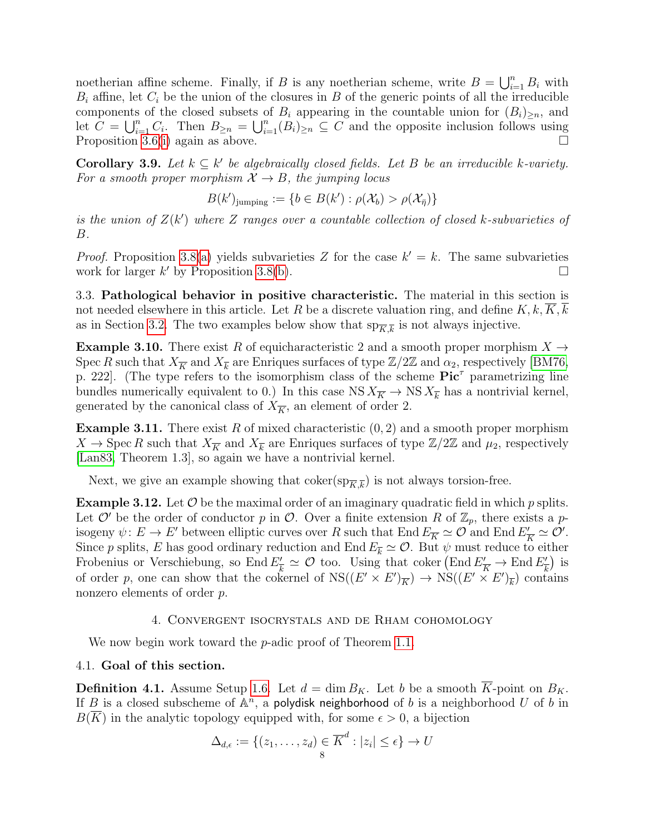noetherian affine scheme. Finally, if B is any noetherian scheme, write  $B = \bigcup_{i=1}^{n} B_i$  with  $B_i$  affine, let  $C_i$  be the union of the closures in B of the generic points of all the irreducible components of the closed subsets of  $B_i$  appearing in the countable union for  $(B_i)_{\geq n}$ , and let  $C = \bigcup_{i=1}^n C_i$ . Then  $B_{\geq n} = \bigcup_{i=1}^n (B_i)_{\geq n} \subseteq C$  and the opposite inclusion follows using Proposition [3.6](#page-6-0)[\(i\)](#page-6-5) again as above.  $\square$ 

<span id="page-7-1"></span>**Corollary 3.9.** Let  $k \subseteq k'$  be algebraically closed fields. Let B be an irreducible k-variety. For a smooth proper morphism  $\mathcal{X} \to B$ , the jumping locus

$$
B(k')_{\text{jumping}} := \{ b \in B(k') : \rho(\mathcal{X}_b) > \rho(\mathcal{X}_{\bar{\eta}}) \}
$$

is the union of  $Z(k')$  where Z ranges over a countable collection of closed k-subvarieties of B.

*Proof.* Proposition [3.8](#page-6-8)[\(a\)](#page-6-7) yields subvarieties Z for the case  $k' = k$ . The same subvarieties work for larger  $k'$  by Proposition [3.8\(](#page-6-8)[b\)](#page-6-6).

3.3. Pathological behavior in positive characteristic. The material in this section is not needed elsewhere in this article. Let R be a discrete valuation ring, and define  $K, k, K, k$ as in Section [3.2.](#page-5-4) The two examples below show that  $sp_{\overline{K},\overline{k}}$  is not always injective.

<span id="page-7-2"></span>**Example 3.10.** There exist R of equicharacteristic 2 and a smooth proper morphism  $X \rightarrow$ Spec R such that  $X_{\overline{K}}$  and  $X_{\overline{k}}$  are Enriques surfaces of type  $\mathbb{Z}/2\mathbb{Z}$  and  $\alpha_2$ , respectively [\[BM76,](#page-26-7) p. 222. (The type refers to the isomorphism class of the scheme  $Pic^{\tau}$  parametrizing line bundles numerically equivalent to 0.) In this case  $NS X_{\overline{K}} \to NS X_{\overline{k}}$  has a nontrivial kernel, generated by the canonical class of  $X_{\overline{K}}$ , an element of order 2.

<span id="page-7-3"></span>**Example 3.11.** There exist R of mixed characteristic  $(0, 2)$  and a smooth proper morphism  $X \to \text{Spec } R$  such that  $X_{\overline{K}}$  and  $X_{\overline{k}}$  are Enriques surfaces of type  $\mathbb{Z}/2\mathbb{Z}$  and  $\mu_2$ , respectively [\[Lan83,](#page-27-12) Theorem 1.3], so again we have a nontrivial kernel.

Next, we give an example showing that  $\text{coker}(\text{sp}_{\overline{K},\overline{k}})$  is not always torsion-free.

**Example 3.12.** Let  $\mathcal O$  be the maximal order of an imaginary quadratic field in which p splits. Let  $\mathcal{O}'$  be the order of conductor p in  $\mathcal{O}$ . Over a finite extension R of  $\mathbb{Z}_p$ , there exists a pisogeny  $\psi: E \to E'$  between elliptic curves over R such that End  $E_{\overline{K}} \simeq \mathcal{O}$  and End  $E'_{\overline{I}}$  $\frac{y}{K} \simeq \mathcal{O}'.$ Since p splits, E has good ordinary reduction and End  $E_{\overline{k}} \simeq \mathcal{O}$ . But  $\psi$  must reduce to either Frobenius or Verschiebung, so End  $E_7$  $\frac{\partial}{\partial k} \simeq \mathcal{O}$  too. Using that coker  $(\text{End } E'_{\overline{K}} \to \text{End } E'_{\overline{K}})$  $\frac{\gamma}{k}$ ) is of order p, one can show that the cokernel of  $NS((E' \times E')_{\overline{K}}) \to NS((E' \times E')_{\overline{k}})$  contains nonzero elements of order p.

#### 4. Convergent isocrystals and de Rham cohomology

<span id="page-7-0"></span>We now begin work toward the *p*-adic proof of Theorem [1.1.](#page-0-0)

### 4.1. Goal of this section.

**Definition 4.1.** Assume Setup [1.6.](#page-1-1) Let  $d = \dim B_K$ . Let b be a smooth K-point on  $B_K$ . If B is a closed subscheme of  $A^n$ , a polydisk neighborhood of b is a neighborhood U of b in  $B(K)$  in the analytic topology equipped with, for some  $\epsilon > 0$ , a bijection

$$
\Delta_{d,\epsilon} := \{(z_1,\ldots,z_d) \in \overline{K}^d : |z_i| \leq \epsilon\} \to U
$$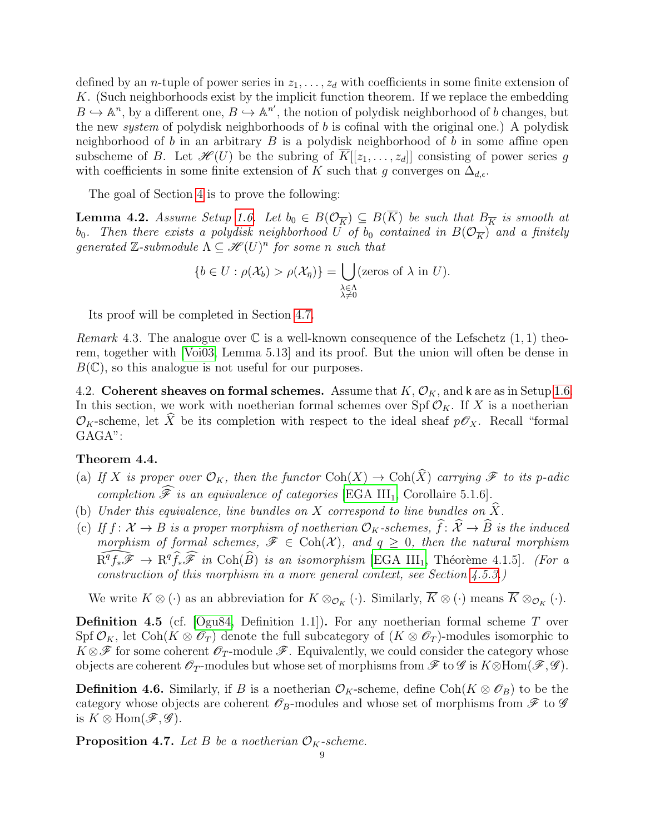defined by an *n*-tuple of power series in  $z_1, \ldots, z_d$  with coefficients in some finite extension of K. (Such neighborhoods exist by the implicit function theorem. If we replace the embedding  $B \hookrightarrow \mathbb{A}^n$ , by a different one,  $B \hookrightarrow \mathbb{A}^{n'}$ , the notion of polydisk neighborhood of b changes, but the new system of polydisk neighborhoods of b is cofinal with the original one.) A polydisk neighborhood of b in an arbitrary  $B$  is a polydisk neighborhood of b in some affine open subscheme of B. Let  $\mathscr{H}(U)$  be the subring of  $\overline{K}[[z_1,\ldots,z_d]]$  consisting of power series g with coefficients in some finite extension of K such that g converges on  $\Delta_{d,\epsilon}$ .

The goal of Section [4](#page-7-0) is to prove the following:

<span id="page-8-0"></span>**Lemma 4.2.** Assume Setup [1.6.](#page-1-1) Let  $b_0 \in B(\mathcal{O}_{\overline{K}}) \subseteq B(\overline{K})$  be such that  $B_{\overline{K}}$  is smooth at  $b_0$ . Then there exists a polydisk neighborhood U of  $b_0$  contained in  $B(\mathcal{O}_{\overline{K}})$  and a finitely generated  $\mathbb{Z}$ -submodule  $\Lambda \subseteq \mathscr{H}(U)^n$  for some n such that

$$
\{b \in U : \rho(\mathcal{X}_b) > \rho(\mathcal{X}_{\overline{\eta}})\} = \bigcup_{\substack{\lambda \in \Lambda \\ \lambda \neq 0}} (\text{zeros of } \lambda \text{ in } U).
$$

Its proof will be completed in Section [4.7.](#page-13-0)

<span id="page-8-7"></span>*Remark* 4.3. The analogue over  $\mathbb C$  is a well-known consequence of the Lefschetz  $(1, 1)$  theorem, together with [\[Voi03,](#page-28-3) Lemma 5.13] and its proof. But the union will often be dense in  $B(\mathbb{C})$ , so this analogue is not useful for our purposes.

4.2. Coherent sheaves on formal schemes. Assume that  $K, \mathcal{O}_K$ , and k are as in Setup [1.6.](#page-1-1) In this section, we work with noetherian formal schemes over Spf  $\mathcal{O}_K$ . If X is a noetherian  $\mathcal{O}_K$ -scheme, let  $\widehat{X}$  be its completion with respect to the ideal sheaf  $p\mathscr{O}_X$ . Recall "formal GAGA":

### <span id="page-8-1"></span>Theorem 4.4.

- <span id="page-8-2"></span>(a) If X is proper over  $\mathcal{O}_K$ , then the functor  $\text{Coh}(X) \to \text{Coh}(\widehat{X})$  carrying  $\mathscr{F}$  to its p-adic completion  $\widehat{\mathscr{F}}$  is an equivalence of categories [\[EGA III](#page-26-5)<sub>1</sub>, Corollaire 5.1.6].
- <span id="page-8-5"></span>(b) Under this equivalence, line bundles on X correspond to line bundles on  $\widehat{X}$ .
- <span id="page-8-3"></span>(c) If  $f: \mathcal{X} \to B$  is a proper morphism of noetherian  $\mathcal{O}_K$ -schemes,  $\widehat{f}: \widehat{\mathcal{X}} \to \widehat{B}$  is the induced morphism of formal schemes,  $\mathscr{F} \in \text{Coh}(\mathcal{X})$ , and  $q \geq 0$ , then the natural morphism  $\widehat{\mathrm{R}^qf_*\mathscr{F}} \to \mathrm{R}^q\widehat{f_*\mathscr{F}}$  in  $\mathrm{Coh}(\widehat{B})$  is an isomorphism [\[EGA III](#page-26-5)<sub>1</sub>, Théorème 4.1.5]. (For a construction of this morphism in a more general context, see Section [4.5.3.](#page-11-0))

We write  $K \otimes (\cdot)$  as an abbreviation for  $K \otimes_{\mathcal{O}_K} (\cdot)$ . Similarly,  $\overline{K} \otimes (\cdot)$  means  $\overline{K} \otimes_{\mathcal{O}_K} (\cdot)$ .

<span id="page-8-6"></span>**Definition 4.5** (cf.  $[Ogu84, Definition 1.1]$  $[Ogu84, Definition 1.1]$ ). For any noetherian formal scheme T over Spf  $\mathcal{O}_K$ , let Coh( $K \otimes \mathcal{O}_T$ ) denote the full subcategory of  $(K \otimes \mathcal{O}_T)$ -modules isomorphic to  $K \otimes \mathscr{F}$  for some coherent  $\mathscr{O}_T$ -module  $\mathscr{F}$ . Equivalently, we could consider the category whose objects are coherent  $\mathscr{O}_T$ -modules but whose set of morphisms from  $\mathscr{F}$  to  $\mathscr{G}$  is  $K \otimes Hom(\mathscr{F}, \mathscr{G})$ .

**Definition 4.6.** Similarly, if B is a noetherian  $\mathcal{O}_K$ -scheme, define Coh( $K \otimes \mathcal{O}_B$ ) to be the category whose objects are coherent  $\mathscr{O}_B$ -modules and whose set of morphisms from  $\mathscr{F}$  to  $\mathscr{G}$ is  $K \otimes \text{Hom}(\mathscr{F}, \mathscr{G})$ .

<span id="page-8-4"></span>**Proposition 4.7.** Let B be a noetherian  $\mathcal{O}_K$ -scheme.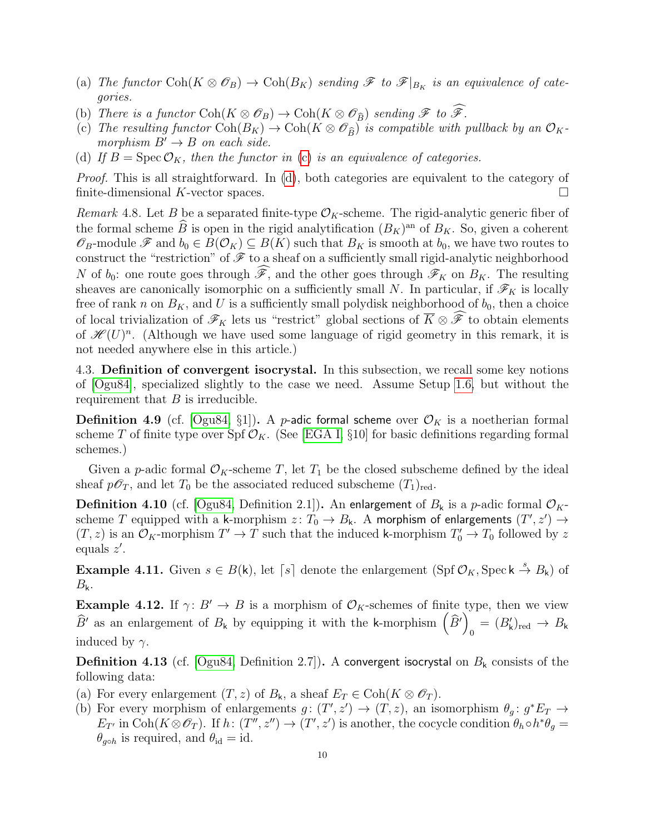- (a) The functor  $\text{Coh}(K \otimes \mathcal{O}_B) \to \text{Coh}(B_K)$  sending  $\mathscr{F}$  to  $\mathscr{F}|_{B_K}$  is an equivalence of categories.
- (b) There is a functor  $\text{Coh}(K \otimes \mathcal{O}_B) \to \text{Coh}(K \otimes \mathcal{O}_{\widehat{B}})$  sending  $\mathscr{F}$  to  $\widetilde{\mathscr{F}}$ .
- <span id="page-9-0"></span>(c) The resulting functor  $\text{Coh}(B_K) \to \text{Coh}(K \otimes \mathcal{O}_{\widehat{B}})$  is compatible with pullback by an  $\mathcal{O}_K$ morphism  $B' \rightarrow B$  on each side.
- <span id="page-9-1"></span>(d) If  $B = \text{Spec } \mathcal{O}_K$ , then the functor in [\(c\)](#page-9-0) is an equivalence of categories.

Proof. This is all straightforward. In [\(d\)](#page-9-1), both categories are equivalent to the category of finite-dimensional K-vector spaces.

<span id="page-9-3"></span>Remark 4.8. Let B be a separated finite-type  $\mathcal{O}_K$ -scheme. The rigid-analytic generic fiber of the formal scheme  $\hat{B}$  is open in the rigid analytification  $(B_K)$ <sup>an</sup> of  $B_K$ . So, given a coherent  $\mathscr{O}_B$ -module  $\mathscr{F}$  and  $b_0 \in B(\mathcal{O}_K) \subseteq B(K)$  such that  $B_K$  is smooth at  $b_0$ , we have two routes to construct the "restriction" of  $\mathscr F$  to a sheaf on a sufficiently small rigid-analytic neighborhood N of  $b_0$ : one route goes through  $\widehat{\mathscr{F}}$ , and the other goes through  $\mathscr{F}_K$  on  $B_K$ . The resulting sheaves are canonically isomorphic on a sufficiently small N. In particular, if  $\mathscr{F}_K$  is locally free of rank n on  $B_K$ , and U is a sufficiently small polydisk neighborhood of  $b_0$ , then a choice of local trivialization of  $\mathscr{F}_K$  lets us "restrict" global sections of  $\overline{K} \otimes \widehat{\mathscr{F}}$  to obtain elements of  $\mathscr{H}(U)^n$ . (Although we have used some language of rigid geometry in this remark, it is not needed anywhere else in this article.)

<span id="page-9-5"></span>4.3. Definition of convergent isocrystal. In this subsection, we recall some key notions of [\[Ogu84\]](#page-27-13), specialized slightly to the case we need. Assume Setup [1.6,](#page-1-1) but without the requirement that  $B$  is irreducible.

<span id="page-9-4"></span>**Definition 4.9** (cf. [\[Ogu84,](#page-27-13) §1]). A *p*-adic formal scheme over  $\mathcal{O}_K$  is a noetherian formal scheme T of finite type over Spf  $\mathcal{O}_K$ . (See [\[EGA I,](#page-26-8) §10] for basic definitions regarding formal schemes.)

Given a p-adic formal  $\mathcal{O}_K$ -scheme T, let  $T_1$  be the closed subscheme defined by the ideal sheaf  $p\mathscr{O}_T$ , and let  $T_0$  be the associated reduced subscheme  $(T_1)_{red}$ .

<span id="page-9-6"></span>**Definition 4.10** (cf. [\[Ogu84,](#page-27-13) Definition 2.1]). An enlargement of  $B_k$  is a p-adic formal  $\mathcal{O}_K$ scheme  $T$  equipped with a k-morphism  $z: T_0 \to B_{\mathsf{k}}$ . A morphism of enlargements  $(T', z') \to$  $(T, z)$  is an  $\mathcal{O}_K$ -morphism  $T' \to T$  such that the induced k-morphism  $T'_0 \to T_0$  followed by z equals  $z'$ .

**Example 4.11.** Given  $s \in B(k)$ , let [s] denote the enlargement  $(Spf \mathcal{O}_K, Spec k \stackrel{s}{\rightarrow} B_k)$  of  $B_{k}$ .

**Example 4.12.** If  $\gamma: B' \to B$  is a morphism of  $\mathcal{O}_K$ -schemes of finite type, then we view  $\widehat{B}'$  as an enlargement of  $B_k$  by equipping it with the k-morphism  $(\widehat{B}')$  $_0 = (B'_{\mathsf{k}})_{\text{red}} \to B_{\mathsf{k}}$ induced by  $\gamma$ .

<span id="page-9-2"></span>**Definition 4.13** (cf. [\[Ogu84,](#page-27-13) Definition 2.7]). A convergent isocrystal on  $B_k$  consists of the following data:

- (a) For every enlargement  $(T, z)$  of  $B_k$ , a sheaf  $E_T \in \text{Coh}(K \otimes \mathscr{O}_T)$ .
- (b) For every morphism of enlargements  $g: (T', z') \to (T, z)$ , an isomorphism  $\theta_g: g^*E_T \to$  $E_{T'}$  in Coh( $K \otimes \mathscr{O}_T$ ). If  $h: (T'', z'') \to (T', z')$  is another, the cocycle condition  $\theta_h \circ h^* \theta_g =$  $\theta_{q \circ h}$  is required, and  $\theta_{id} = id$ .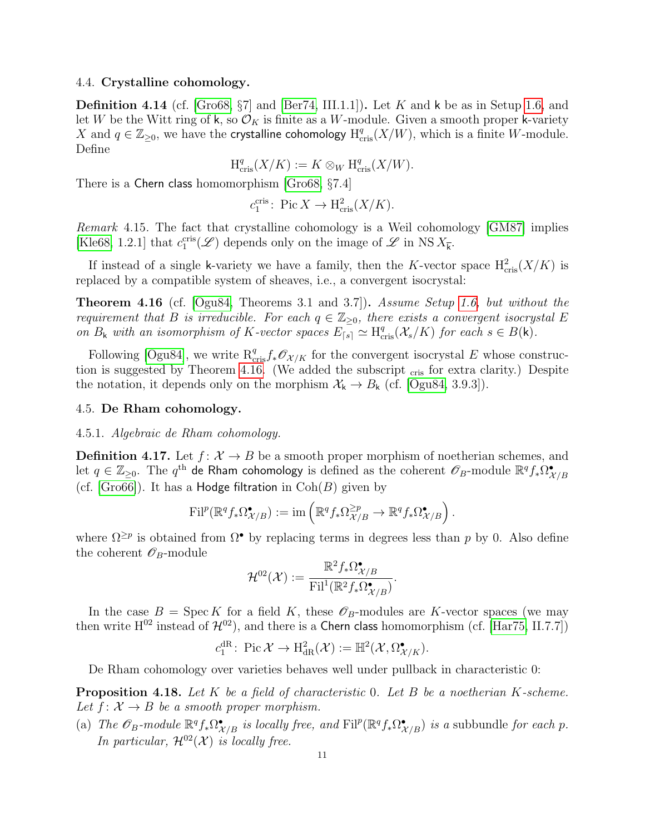#### 4.4. Crystalline cohomology.

<span id="page-10-4"></span>**Definition 4.14** (cf.  $[\text{Gro68}, \S7]$  and  $[\text{Ber74}, \text{III.1.1}])$ . Let K and k be as in Setup [1.6,](#page-1-1) and let W be the Witt ring of k, so  $\mathcal{O}_K$  is finite as a W-module. Given a smooth proper k-variety X and  $q \in \mathbb{Z}_{\geq 0}$ , we have the crystalline cohomology  $H_{\text{cris}}^q(X/W)$ , which is a finite W-module. Define

$$
\text{H}_{\text{cris}}^q(X/K) := K \otimes_W \text{H}_{\text{cris}}^q(X/W).
$$

There is a Chern class homomorphism [\[Gro68,](#page-27-14) §7.4]

$$
c_1^{\text{cris}}
$$
: Pic  $X \to \mathrm{H}^2_{\text{cris}}(X/K)$ .

<span id="page-10-2"></span>Remark 4.15. The fact that crystalline cohomology is a Weil cohomology [\[GM87\]](#page-26-10) implies [\[Kle68,](#page-27-15) 1.2.1] that  $c_1^{\text{cris}}(\mathscr{L})$  depends only on the image of  $\mathscr{L}$  in NS  $X_{\bar{k}}$ .

If instead of a single k-variety we have a family, then the K-vector space  $H_{\text{cris}}^2(X/K)$  is replaced by a compatible system of sheaves, i.e., a convergent isocrystal:

<span id="page-10-0"></span>**Theorem 4.16** (cf.  $[Ogu84, Theorems 3.1 and 3.7]$  $[Ogu84, Theorems 3.1 and 3.7]$ ). Assume Setup [1.6,](#page-1-1) but without the requirement that B is irreducible. For each  $q \in \mathbb{Z}_{\geq 0}$ , there exists a convergent isocrystal E on  $B_k$  with an isomorphism of K-vector spaces  $E_{\lceil s \rceil} \simeq H_{\text{cris}}^q(\mathcal{X}_s/K)$  for each  $s \in B(k)$ .

Following [\[Ogu84\]](#page-27-13), we write  $R_{\text{cris}}^q f_* \mathscr{O}_{\mathcal{X}/K}$  for the convergent isocrystal E whose construc-tion is suggested by Theorem [4.16.](#page-10-0) (We added the subscript <sub>cris</sub> for extra clarity.) Despite the notation, it depends only on the morphism  $\mathcal{X}_{k} \to B_{k}$  (cf. [\[Ogu84,](#page-27-13) 3.9.3]).

#### 4.5. De Rham cohomology.

#### 4.5.1. Algebraic de Rham cohomology.

<span id="page-10-5"></span>**Definition 4.17.** Let  $f: \mathcal{X} \to B$  be a smooth proper morphism of noetherian schemes, and let  $q\in\Z_{\geq 0}.$  The  $q^{\rm th}$  de Rham cohomology is defined as the coherent  $\mathscr{O}_B\text{-module}$   $\R^qf_*\Omega_{\mathcal{X}/B}^\bullet$ (cf. [\[Gro66\]](#page-27-16)). It has a **Hodge filtration** in  $Coh(B)$  given by

$$
\mathrm{Fil}^p(\mathbb{R}^q f_* \Omega_{\mathcal{X}/B}^{\bullet}) := \mathrm{im}\left(\mathbb{R}^q f_* \Omega_{\mathcal{X}/B}^{\geq p} \to \mathbb{R}^q f_* \Omega_{\mathcal{X}/B}^{\bullet}\right).
$$

where  $\Omega^{\geq p}$  is obtained from  $\Omega^{\bullet}$  by replacing terms in degrees less than p by 0. Also define the coherent  $\mathscr{O}_B$ -module

$$
\mathcal{H}^{02}(\mathcal{X}):=\frac{\mathbb{R}^2f_*\Omega^{\bullet}_{\mathcal{X}/B}}{\mathrm{Fil}^1(\mathbb{R}^2f_*\Omega^{\bullet}_{\mathcal{X}/B})}.
$$

In the case  $B = \text{Spec } K$  for a field K, these  $\mathscr{O}_B$ -modules are K-vector spaces (we may then write  $H^{02}$  instead of  $\mathcal{H}^{02}$ ), and there is a Chern class homomorphism (cf. [\[Har75,](#page-27-17) II.7.7])

$$
c_1^{\text{dR}}
$$
: Pic $\mathcal{X} \to \text{H}^2_{\text{dR}}(\mathcal{X}) := \mathbb{H}^2(\mathcal{X}, \Omega^\bullet_{\mathcal{X}/K}).$ 

De Rham cohomology over varieties behaves well under pullback in characteristic 0:

<span id="page-10-1"></span>**Proposition 4.18.** Let  $K$  be a field of characteristic 0. Let  $B$  be a noetherian  $K$ -scheme. Let  $f: \mathcal{X} \to B$  be a smooth proper morphism.

<span id="page-10-3"></span>(a) The  $\mathscr{O}_B$ -module  $\mathbb{R}^q f_* \Omega_{\mathcal{X}/B}^{\bullet}$  is locally free, and  $\text{Fil}^p(\mathbb{R}^q f_* \Omega_{\mathcal{X}/B}^{\bullet})$  is a subbundle for each p. In particular,  $\mathcal{H}^{02}(\mathcal{X})$  is locally free.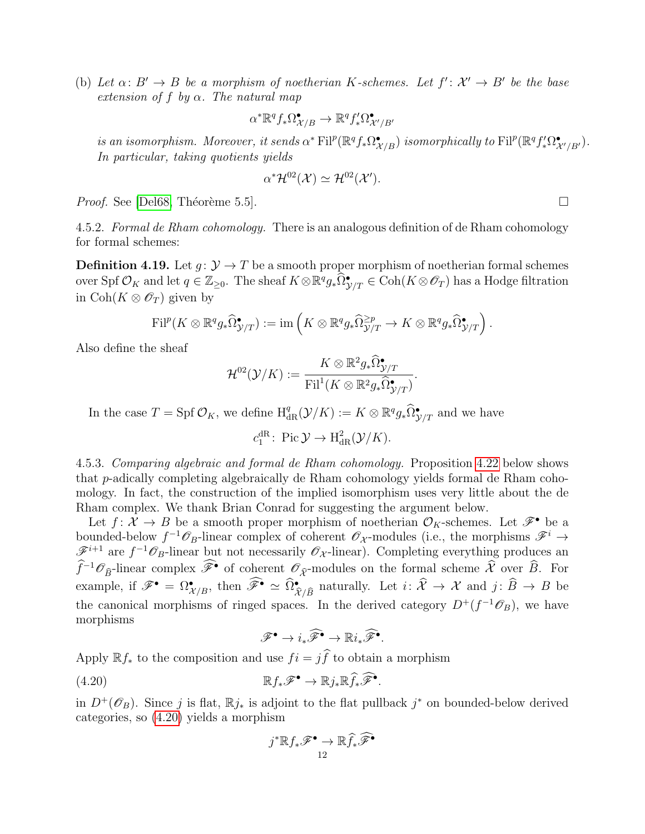<span id="page-11-2"></span>(b) Let  $\alpha: B' \to B$  be a morphism of noetherian K-schemes. Let  $f' : \mathcal{X}' \to B'$  be the base extension of f by  $\alpha$ . The natural map

$$
\alpha^* \mathbb{R}^q f_* \Omega_{\mathcal{X}/B}^{\bullet} \to \mathbb{R}^q f'_* \Omega_{\mathcal{X}'/B'}^{\bullet}
$$

is an isomorphism. Moreover, it sends  $\alpha^* \text{Fil}^p(\mathbb{R}^q f_* \Omega_{\mathcal{X}/B}^{\bullet})$  isomorphically to  $\text{Fil}^p(\mathbb{R}^q f'_* \Omega_{\mathcal{X}/B'}^{\bullet})$ . In particular, taking quotients yields

$$
\alpha^* \mathcal{H}^{02}(\mathcal{X}) \simeq \mathcal{H}^{02}(\mathcal{X}').
$$

*Proof.* See [\[Del68,](#page-26-11) Théorème 5.5].  $\square$ 

4.5.2. Formal de Rham cohomology. There is an analogous definition of de Rham cohomology for formal schemes:

**Definition 4.19.** Let  $g: \mathcal{Y} \to T$  be a smooth proper morphism of noetherian formal schemes over Spf  $\mathcal{O}_K$  and let  $q \in \mathbb{Z}_{\geq 0}$ . The sheaf  $K \otimes \mathbb{R}^q g_* \widehat{\Omega}^{\bullet}_{\mathcal{Y}/T} \in \text{Coh}(K \otimes \mathscr{O}_T)$  has a Hodge filtration in Coh( $K \otimes \mathscr{O}_T$ ) given by

$$
\textnormal{Fil}^p(K\otimes\mathbb{R}^qg_*\widehat{\Omega}_{\mathcal{Y}/T}^\bullet):=\textnormal{im}\left(K\otimes\mathbb{R}^qg_*\widehat{\Omega}_{\mathcal{Y}/T}^{\geq p}\rightarrow K\otimes\mathbb{R}^qg_*\widehat{\Omega}_{\mathcal{Y}/T}^\bullet\right).
$$

Also define the sheaf

$$
\mathcal{H}^{02}(\mathcal{Y}/K) := \frac{K \otimes \mathbb{R}^2 g_* \widehat{\Omega}_{\mathcal{Y}/T}^{\bullet}}{\mathrm{Fil}^1(K \otimes \mathbb{R}^2 g_* \widehat{\Omega}_{\mathcal{Y}/T}^{\bullet})}
$$

.

In the case  $T = \text{Spf } \mathcal{O}_K$ , we define  $H^q_{\text{dR}}(\mathcal{Y}/K) := K \otimes \mathbb{R}^q g_* \widehat{\Omega}^{\bullet}_{\mathcal{Y}/T}$  and we have

 $c_1^{\text{dR}}$ : Pic  $\mathcal{Y} \to \text{H}^2_{\text{dR}}(\mathcal{Y}/K)$ .

<span id="page-11-0"></span>4.5.3. Comparing algebraic and formal de Rham cohomology. Proposition [4.22](#page-12-0) below shows that p-adically completing algebraically de Rham cohomology yields formal de Rham cohomology. In fact, the construction of the implied isomorphism uses very little about the de Rham complex. We thank Brian Conrad for suggesting the argument below.

Let  $f: \mathcal{X} \to B$  be a smooth proper morphism of noetherian  $\mathcal{O}_K$ -schemes. Let  $\mathscr{F}^{\bullet}$  be a bounded-below  $f^{-1}\mathscr{O}_B$ -linear complex of coherent  $\mathscr{O}_{\mathcal{X}}$ -modules (i.e., the morphisms  $\mathscr{F}^i \to$  $\mathscr{F}^{i+1}$  are  $f^{-1}\mathscr{O}_B$ -linear but not necessarily  $\mathscr{O}_{\mathcal{X}}$ -linear). Completing everything produces an  $\widehat{f}^{-1}\mathscr{O}_{\widehat{B}}$ -linear complex  $\widehat{\mathscr{F}}$ • of coherent  $\mathscr{O}_{\widehat{X}}$ -modules on the formal scheme  $\widehat{\mathcal{X}}$  over  $\widehat{B}$ . For example, if  $\mathscr{F}^{\bullet} = \Omega^{\bullet}_{\mathcal{X}/B}$ , then  $\widetilde{\mathscr{F}}^{\bullet} \simeq \widehat{\Omega}^{\bullet}_{\widehat{\mathcal{X}}/\widehat{B}}$  naturally. Let  $i: \widehat{\mathcal{X}} \to \mathcal{X}$  and  $j: \widehat{B} \to B$  be the canonical morphisms of ringed spaces. In the derived category  $D^+(f^{-1}\mathcal{O}_B)$ , we have morphisms

<span id="page-11-1"></span>
$$
\mathscr{F}^{\bullet} \to i_* \widehat{\mathscr{F}}^{\bullet} \to \mathbb{R} i_* \widehat{\mathscr{F}}^{\bullet}.
$$

Apply  $\mathbb{R} f_*$  to the composition and use  $f_i = j\hat{f}$  to obtain a morphism

$$
\mathbb{R}f_*\mathscr{F}^\bullet \to \mathbb{R}j_*\mathbb{R}\widehat{f}_*\widehat{\mathscr{F}}^\bullet.
$$

in  $D^+(\mathscr{O}_B)$ . Since j is flat,  $\mathbb{R}j_*$  is adjoint to the flat pullback  $j^*$  on bounded-below derived categories, so [\(4.20\)](#page-11-1) yields a morphism

$$
j^*\mathbb{R}f_*\mathscr{F}^\bullet \to \mathbb{R}\widehat{f}_*\widehat{\mathscr{F}}^\bullet
$$
  

$$
12
$$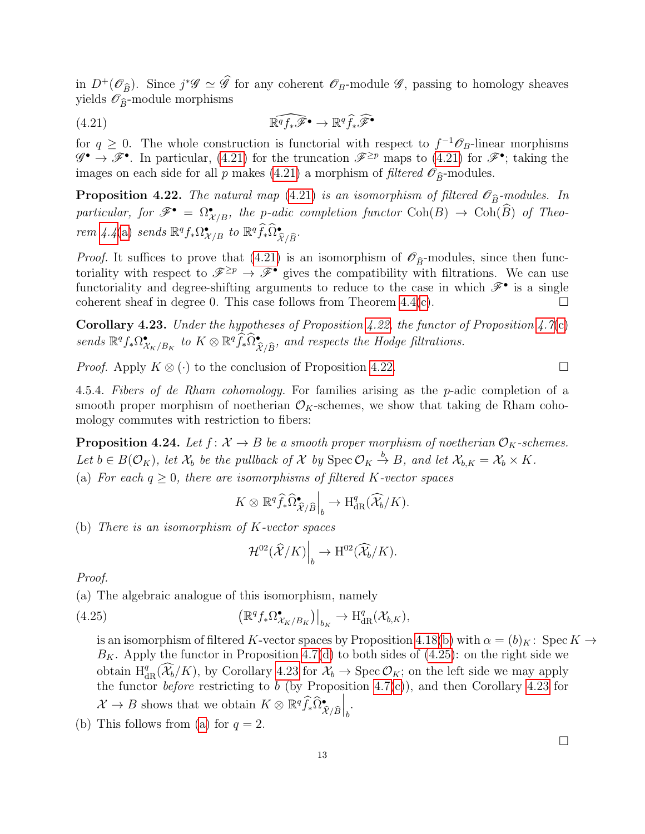in  $D^+(\mathscr{O}_B)$ . Since  $j^*\mathscr{G} \simeq \mathscr{G}$  for any coherent  $\mathscr{O}_B$ -module  $\mathscr{G}$ , passing to homology sheaves yields  $\mathscr{O}_{\widehat{B}}$ -module morphisms

<span id="page-12-1"></span>(4.21) 
$$
\widehat{\mathbb{R}^q f_* \mathscr{F}^{\bullet}} \to \widehat{\mathbb{R}^q f_* \mathscr{F}^{\bullet}}
$$

for  $q \geq 0$ . The whole construction is functorial with respect to  $f^{-1}\mathscr{O}_B$ -linear morphisms  $\mathscr{G}^\bullet \to \mathscr{F}^\bullet$ . In particular, [\(4.21\)](#page-12-1) for the truncation  $\mathscr{F}^{\geq p}$  maps to (4.21) for  $\mathscr{F}^\bullet$ ; taking the images on each side for all p makes [\(4.21\)](#page-12-1) a morphism of filtered  $\mathcal{O}_{\widehat{B}}$ -modules.

<span id="page-12-0"></span>**Proposition 4.22.** The natural map [\(4.21\)](#page-12-1) is an isomorphism of filtered  $\mathscr{O}_{\widehat{B}}$ -modules. In particular, for  $\mathscr{F}^{\bullet} = \Omega^{\bullet}_{\mathcal{X}/B}$ , the p-adic completion functor  $\text{Coh}(B) \to \text{Coh}(\widehat{B})$  of Theo-rem [4.4](#page-8-1)[\(a\)](#page-8-2) sends  $\mathbb{R}^q f_* \Omega_{\mathcal{X}/B}^{\bullet}$  to  $\mathbb{R}^q \widehat{f}_* \widehat{\Omega}_{\widehat{\mathcal{X}}/\widehat{B}}^{\bullet}$ .

*Proof.* It suffices to prove that [\(4.21\)](#page-12-1) is an isomorphism of  $\mathscr{O}_{\widehat{B}}$ -modules, since then functoriality with respect to  $\mathscr{F}^{\geq p} \to \mathscr{F}^{\bullet}$  gives the compatibility with filtrations. We can use functoriality and degree-shifting arguments to reduce to the case in which  $\mathscr{F}^{\bullet}$  is a single coherent sheaf in degree 0. This case follows from Theorem  $4.4(c)$  $4.4(c)$ .

<span id="page-12-3"></span>**Corollary 4.23.** Under the hypotheses of Proposition [4.22,](#page-12-0) the functor of Proposition [4.7](#page-8-4)[\(c\)](#page-9-0) sends  $\mathbb{R}^q f_* \Omega_{\mathcal{X}_K/B_K}^{\bullet}$  to  $K \otimes \mathbb{R}^q \widehat{f}_* \widehat{\Omega}_{\widehat{\mathcal{X}}/\widehat{B}}^{\bullet}$ , and respects the Hodge filtrations.

*Proof.* Apply  $K \otimes (\cdot)$  to the conclusion of Proposition [4.22.](#page-12-0)

4.5.4. Fibers of de Rham cohomology. For families arising as the p-adic completion of a smooth proper morphism of noetherian  $\mathcal{O}_K$ -schemes, we show that taking de Rham cohomology commutes with restriction to fibers:

<span id="page-12-5"></span><span id="page-12-4"></span>**Proposition 4.24.** Let  $f: \mathcal{X} \to B$  be a smooth proper morphism of noetherian  $\mathcal{O}_K$ -schemes. Let  $b \in B(\mathcal{O}_K)$ , let  $\mathcal{X}_b$  be the pullback of  $\mathcal{X}$  by  $\text{Spec } \mathcal{O}_K \stackrel{b}{\to} B$ , and let  $\mathcal{X}_{b,K} = \mathcal{X}_b \times K$ . (a) For each  $q \geq 0$ , there are isomorphisms of filtered K-vector spaces

$$
K \otimes \mathbb{R}^q \widehat{f}_* \widehat{\Omega}^{\bullet}_{\widehat{\mathcal{X}}/\widehat{B}} \Big|_{b} \to \mathrm{H}^q_{\mathrm{dR}}(\widehat{\mathcal{X}}_b/K).
$$

<span id="page-12-6"></span>(b) There is an isomorphism of K-vector spaces

<span id="page-12-2"></span>
$$
\mathcal{H}^{02}(\widehat{\mathcal{X}}/K)\Big|_{b} \to \mathrm{H}^{02}(\widehat{\mathcal{X}}_{b}/K).
$$

Proof.

(a) The algebraic analogue of this isomorphism, namely

(4.25) 
$$
\left(\mathbb{R}^q f_* \Omega^{\bullet}_{\mathcal{X}_K/B_K}\right)\Big|_{b_K} \to \mathrm{H}^q_{\mathrm{dR}}(\mathcal{X}_{b,K}),
$$

is an isomorphism of filtered K-vector spaces by Proposition [4.18](#page-10-1)[\(b\)](#page-11-2) with  $\alpha = (b_K : \text{Spec } K \to$  $B_K$ . Apply the functor in Proposition [4.7](#page-8-4)[\(d\)](#page-9-1) to both sides of [\(4.25\)](#page-12-2): on the right side we obtain  $H_{\text{dR}}^q(\widehat{\mathcal{X}_b}/K)$ , by Corollary [4.23](#page-12-3) for  $\mathcal{X}_b \to \text{Spec } \mathcal{O}_K$ ; on the left side we may apply the functor *before* restricting to b (by Proposition [4.7](#page-8-4)[\(c\)](#page-9-0)), and then Corollary [4.23](#page-12-3) for  $\mathcal{X} \to B$  shows that we obtain  $K \otimes \mathbb{R}^q \widehat{f}_* \widehat{\Omega}_{\widehat{\mathcal{X}}/\widehat{B}}^{\bullet}$  $\Bigg|_b.$ 

(b) This follows from [\(a\)](#page-12-4) for  $q = 2$ .

 $\Box$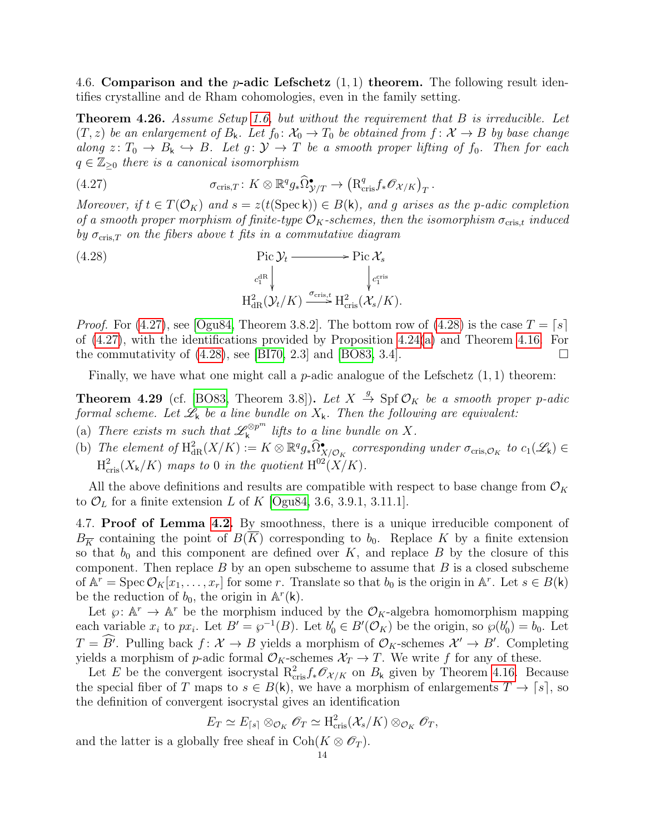4.6. Comparison and the *p*-adic Lefschetz  $(1, 1)$  theorem. The following result identifies crystalline and de Rham cohomologies, even in the family setting.

<span id="page-13-3"></span>Theorem 4.26. Assume Setup [1.6,](#page-1-1) but without the requirement that B is irreducible. Let  $(T, z)$  be an enlargement of  $B_k$ . Let  $f_0: \mathcal{X}_0 \to T_0$  be obtained from  $f: \mathcal{X} \to B$  by base change along  $z: T_0 \to B_k \hookrightarrow B$ . Let  $g: Y \to T$  be a smooth proper lifting of  $f_0$ . Then for each  $q \in \mathbb{Z}_{\geq 0}$  there is a canonical isomorphism

<span id="page-13-1"></span>(4.27) 
$$
\sigma_{\mathrm{cris},T} \colon K \otimes \mathbb{R}^q g_* \widehat{\Omega}^{\bullet}_{\mathcal{Y}/T} \to \left( \mathrm{R}^q_{\mathrm{cris}} f_* \mathscr{O}_{\mathcal{X}/K} \right)_T.
$$

Moreover, if  $t \in T(\mathcal{O}_K)$  and  $s = z(t(\text{Spec } k)) \in B(k)$ , and g arises as the p-adic completion of a smooth proper morphism of finite-type  $\mathcal{O}_K$ -schemes, then the isomorphism  $\sigma_{\text{cris},t}$  induced by  $\sigma_{\text{cris},T}$  on the fibers above t fits in a commutative diagram

<span id="page-13-2"></span>(4.28)  
\n
$$
\operatorname{Pic} \mathcal{Y}_t \longrightarrow \operatorname{Pic} \mathcal{X}_s
$$
\n
$$
c_1^{\operatorname{dR}} \downarrow \qquad \qquad c_{\text{Tris}}^{\operatorname{cris}}.
$$
\n
$$
\operatorname{H}^2_{\operatorname{dR}}(\mathcal{Y}_t/K) \xrightarrow{\sigma_{\operatorname{cris},t}} \operatorname{H}^2_{\operatorname{cris}}(\mathcal{X}_s/K).
$$

*Proof.* For [\(4.27\)](#page-13-1), see [\[Ogu84,](#page-27-13) Theorem 3.8.2]. The bottom row of [\(4.28\)](#page-13-2) is the case  $T = \lceil s \rceil$ of [\(4.27\)](#page-13-1), with the identifications provided by Proposition [4.24\(](#page-12-5)[a\)](#page-12-4) and Theorem [4.16.](#page-10-0) For the commutativity of  $(4.28)$ , see [\[BI70,](#page-26-12) 2.3] and [\[BO83,](#page-26-1) 3.4].

Finally, we have what one might call a *p*-adic analogue of the Lefschetz  $(1, 1)$  theorem:

<span id="page-13-4"></span>**Theorem 4.29** (cf. [\[BO83,](#page-26-1) Theorem 3.8]). Let  $X \stackrel{g}{\rightarrow}$  Spf  $\mathcal{O}_K$  be a smooth proper p-adic formal scheme. Let  $\mathcal{L}_k$  be a line bundle on  $X_k$ . Then the following are equivalent:

- (a) There exists m such that  $\mathscr{L}_{\mathsf{k}}^{\otimes p^m}$  $\int_{\mathsf{k}}^{\infty}$  lifts to a line bundle on X.
- <span id="page-13-5"></span>(b) The element of  $H^2_{dR}(X/K) := K \otimes \mathbb{R}^q g_* \widehat{\Omega}^{\bullet}_{X/\mathcal{O}_K}$  corresponding under  $\sigma_{\mathrm{cris},\mathcal{O}_K}$  to  $c_1(\mathscr{L}_k) \in$  $\mathrm{H}_{\mathrm{cris}}^2(X_{\mathsf{k}}/K)$  maps to 0 in the quotient  $\mathrm{H}^{02}(X/K)$ .

All the above definitions and results are compatible with respect to base change from  $\mathcal{O}_K$ to  $\mathcal{O}_L$  for a finite extension L of K [\[Ogu84,](#page-27-13) 3.6, 3.9.1, 3.11.1].

<span id="page-13-0"></span>4.7. Proof of Lemma [4.2.](#page-8-0) By smoothness, there is a unique irreducible component of  $B_{\overline{K}}$  containing the point of  $B(\overline{K})$  corresponding to  $b_0$ . Replace K by a finite extension so that  $b_0$  and this component are defined over K, and replace B by the closure of this component. Then replace  $B$  by an open subscheme to assume that  $B$  is a closed subscheme of  $\mathbb{A}^r = \text{Spec } \mathcal{O}_K[x_1, \ldots, x_r]$  for some r. Translate so that  $b_0$  is the origin in  $\mathbb{A}^r$ . Let  $s \in B(k)$ be the reduction of  $b_0$ , the origin in  $\mathbb{A}^r(\mathsf{k})$ .

Let  $\varphi: \mathbb{A}^r \to \mathbb{A}^r$  be the morphism induced by the  $\mathcal{O}_K$ -algebra homomorphism mapping each variable  $x_i$  to  $px_i$ . Let  $B' = \wp^{-1}(B)$ . Let  $b'_0 \in B'(\mathcal{O}_K)$  be the origin, so  $\wp(b'_0) = b_0$ . Let  $T = \widehat{B'}$ . Pulling back  $f: \mathcal{X} \to B$  yields a morphism of  $\mathcal{O}_K$ -schemes  $\mathcal{X'} \to B'$ . Completing yields a morphism of p-adic formal  $\mathcal{O}_K$ -schemes  $\mathcal{X}_T \to T$ . We write f for any of these.

Let E be the convergent isocrystal  $R_{\text{cris}}^2 f_* \mathscr{O}_{\mathcal{X}/K}$  on  $B_k$  given by Theorem [4.16.](#page-10-0) Because the special fiber of T maps to  $s \in B(k)$ , we have a morphism of enlargements  $T \to [s]$ , so the definition of convergent isocrystal gives an identification

$$
E_T \simeq E_{\lceil s \rceil} \otimes_{\mathcal{O}_K} \mathscr{O}_T \simeq \mathrm{H}^2_{\mathrm{cris}}(\mathcal{X}_s/K) \otimes_{\mathcal{O}_K} \mathscr{O}_T,
$$

and the latter is a globally free sheaf in  $\text{Coh}(K \otimes \mathcal{O}_T)$ .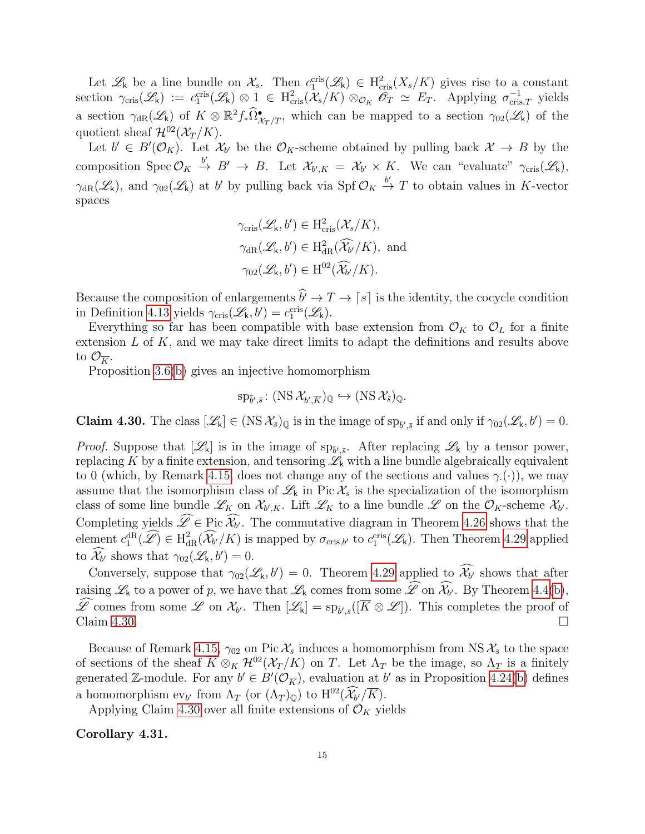Let  $\mathscr{L}_k$  be a line bundle on  $\mathcal{X}_s$ . Then  $c_1^{\text{cris}}(\mathcal{L}_k) \in H^2_{\text{cris}}(X_s/K)$  gives rise to a constant section  $\gamma_{\text{cris}}(\mathscr{L}_k) := c_1^{\text{cris}}(\mathscr{L}_k) \otimes 1 \in H^2_{\text{cris}}(\mathscr{X}_s/K) \otimes_{\mathcal{O}_K} \mathscr{O}_T \simeq E_T$ . Applying  $\sigma_{\text{cris},T}^{-1}$  yields a section  $\gamma_{\text{dR}}(\mathscr{L}_k)$  of  $K \otimes \mathbb{R}^2 f_* \widehat{\Omega}^{\bullet}_{\mathcal{X}_T/T}$ , which can be mapped to a section  $\gamma_{02}(\mathscr{L}_k)$  of the quotient sheaf  $\mathcal{H}^{02}(\mathcal{X}_T/K)$ .

Let  $b' \in B'(\mathcal{O}_K)$ . Let  $\mathcal{X}_{b'}$  be the  $\mathcal{O}_K$ -scheme obtained by pulling back  $\mathcal{X} \to B$  by the composition Spec  $\mathcal{O}_K \stackrel{b'}{\to} B' \to B$ . Let  $\mathcal{X}_{b',K} = \mathcal{X}_{b'} \times K$ . We can "evaluate"  $\gamma_{\text{cris}}(\mathcal{L}_k)$ ,  $\gamma_{\text{dR}}(\mathscr{L}_k)$ , and  $\gamma_{02}(\mathscr{L}_k)$  at b' by pulling back via Spf  $\mathcal{O}_K \stackrel{b'}{\to} T$  to obtain values in K-vector spaces

$$
\gamma_{\text{cris}}(\mathcal{L}_{k}, b') \in H_{\text{cris}}^{2}(\mathcal{X}_{s}/K),
$$
  

$$
\gamma_{\text{dR}}(\mathcal{L}_{k}, b') \in H_{\text{dR}}^{2}(\widehat{\mathcal{X}}_{b'}/K), \text{ and}
$$
  

$$
\gamma_{02}(\mathcal{L}_{k}, b') \in H^{02}(\widehat{\mathcal{X}}_{b'}/K).
$$

Because the composition of enlargements  $\hat{b} \rightarrow T \rightarrow [s]$  is the identity, the cocycle condition in Definition [4.13](#page-9-2) yields  $\gamma_{\text{cris}}(\mathcal{L}_k, b') = c_1^{\text{cris}}(\mathcal{L}_k)$ .

Everything so far has been compatible with base extension from  $\mathcal{O}_K$  to  $\mathcal{O}_L$  for a finite extension  $L$  of  $K$ , and we may take direct limits to adapt the definitions and results above to  $\mathcal{O}_{\overline{K}}$ .

Proposition [3.6](#page-6-0)[\(b\)](#page-6-2) gives an injective homomorphism

$$
\mathrm{sp}_{\bar{b}',\bar{s}}\colon(\mathrm{NS\,}\mathcal{X}_{b',\overline{K}})_{\mathbb{Q}}\hookrightarrow(\mathrm{NS\,}\mathcal{X}_{\bar{s}})_{\mathbb{Q}}.
$$

<span id="page-14-0"></span>**Claim 4.30.** The class  $[\mathcal{L}_k] \in (NS \mathcal{X}_{\bar{s}})_{\mathbb{Q}}$  is in the image of  $sp_{\bar{b}',\bar{s}}$  if and only if  $\gamma_{02}(\mathcal{L}_k, b') = 0$ .

*Proof.* Suppose that  $[\mathscr{L}_k]$  is in the image of  $sp_{\bar{b}',\bar{s}}$ . After replacing  $\mathscr{L}_k$  by a tensor power, replacing K by a finite extension, and tensoring  $\mathscr{L}_k$  with a line bundle algebraically equivalent to 0 (which, by Remark [4.15,](#page-10-2) does not change any of the sections and values  $\gamma$ .(.)), we may assume that the isomorphism class of  $\mathcal{L}_k$  in Pic  $\mathcal{X}_s$  is the specialization of the isomorphism class of some line bundle  $\mathscr{L}_K$  on  $\mathcal{X}_{b',K}$ . Lift  $\mathscr{L}_K$  to a line bundle  $\mathscr{L}$  on the  $\mathcal{O}_K$ -scheme  $\mathcal{X}_{b'}$ . Completing yields  $\mathscr{L} \in \text{Pic } \mathcal{X}_{b'}$ . The commutative diagram in Theorem [4.26](#page-13-3) shows that the element  $c_1^{\text{dR}}(\mathcal{L}) \in H^2_{\text{dR}}(\mathcal{X}_{b'}/K)$  is mapped by  $\sigma_{\text{cris},b'}$  to  $c_1^{\text{cris}}(\mathcal{L}_k)$ . Then Theorem [4.29](#page-13-4) applied to  $\widehat{\mathcal{X}_{b'}}$  shows that  $\gamma_{02}(\mathscr{L}_k, b') = 0$ .

Conversely, suppose that  $\gamma_{02}(\mathcal{L}_k, b') = 0$ . Theorem [4.29](#page-13-4) applied to  $\mathcal{X}_{b'}$  shows that after raising  $\mathscr{L}_k$  to a power of p, we have that  $\mathscr{L}_k$  comes from some  $\mathscr{L}$  on  $\mathcal{X}_{b'}$ . By Theorem [4.4\(](#page-8-1)[b\)](#page-8-5),  $\mathscr{L}$  comes from some  $\mathscr{L}$  on  $\mathcal{X}_{b'}$ . Then  $[\mathscr{L}_k] = sp_{\bar{b}',\bar{s}}([\overline{K} \otimes \mathscr{L}])$ . This completes the proof of Claim [4.30.](#page-14-0)

Because of Remark [4.15,](#page-10-2)  $\gamma_{02}$  on Pic  $\mathcal{X}_{\bar{s}}$  induces a homomorphism from NS  $\mathcal{X}_{\bar{s}}$  to the space of sections of the sheaf  $\overline{K} \otimes_K \mathcal{H}^{02}(\mathcal{X}_T/K)$  on T. Let  $\Lambda_T$  be the image, so  $\Lambda_T$  is a finitely generated Z-module. For any  $b' \in B'(\mathcal{O}_{\overline{K}})$ , evaluation at b' as in Proposition [4.24\(](#page-12-5)[b\)](#page-12-6) defines a homomorphism  $ev_{b'}$  from  $\Lambda_T$  (or  $(\Lambda_T)_{\mathbb{Q}}$ ) to  $H^{02}(\widehat{\mathcal{X}}_{b'}/\overline{K})$ .

Applying Claim [4.30](#page-14-0) over all finite extensions of  $\mathcal{O}_K$  yields

<span id="page-14-1"></span>Corollary 4.31.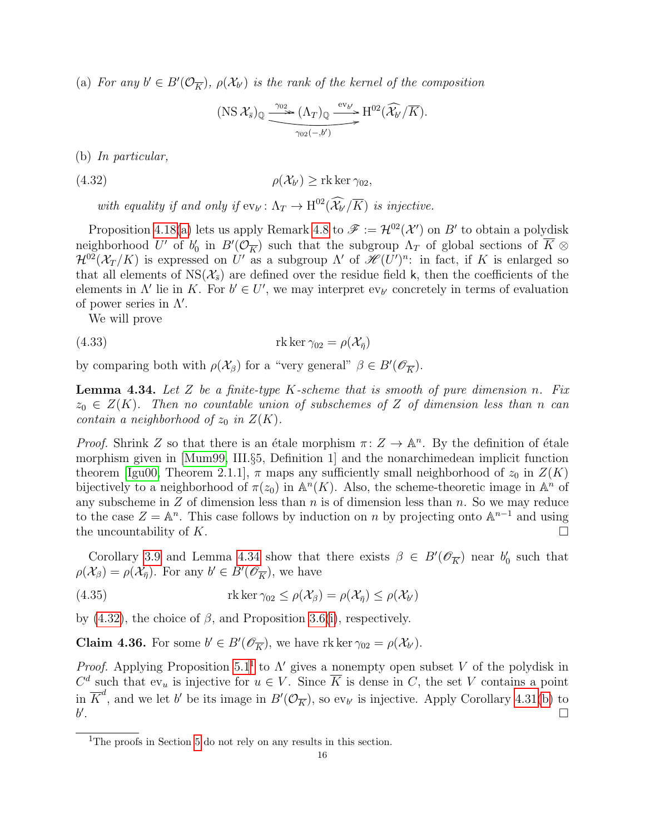(a) For any  $b' \in B'(\mathcal{O}_{\overline{K}})$ ,  $\rho(\mathcal{X}_{b'})$  is the rank of the kernel of the composition

<span id="page-15-1"></span>
$$
(\text{NS } \mathcal{X}_{\bar{s}})_{\mathbb{Q}} \xrightarrow{\gamma_{02}} (\Lambda_T)_{\mathbb{Q}} \xrightarrow{\text{ev}_{b'}} \text{H}^{02}(\widehat{\mathcal{X}_{b'}/K}).
$$

<span id="page-15-3"></span>(b) In particular,

 $(4.32)$  $\rho(\mathcal{X}_{h'})$  > rk ker  $\gamma_{02}$ ,

with equality if and only if  $ev_{b'}: \Lambda_T \to \mathrm{H}^{02}(\widehat{\mathcal{X}_{b'}}/\overline{K})$  is injective.

Proposition [4.18](#page-10-1)[\(a\)](#page-10-3) lets us apply Remark [4.8](#page-9-3) to  $\mathscr{F} := \mathcal{H}^{02}(\mathcal{X}')$  on B' to obtain a polydisk neighborhood U' of  $b'_0$  in  $B'(\mathcal{O}_{\overline{K}})$  such that the subgroup  $\Lambda_T$  of global sections of  $\overline{K} \otimes$  $\mathcal{H}^{02}(\mathcal{X}_T/K)$  is expressed on U' as a subgroup  $\Lambda'$  of  $\mathscr{H}(U')^n$ : in fact, if K is enlarged so that all elements of  $NS(\mathcal{X}_{\overline{s}})$  are defined over the residue field k, then the coefficients of the elements in  $\Lambda'$  lie in K. For  $b' \in U'$ , we may interpret ev<sub>b'</sub> concretely in terms of evaluation of power series in  $\Lambda'$ .

<span id="page-15-6"></span>We will prove

(4.33) 
$$
\text{rk}\ker\gamma_{02} = \rho(\mathcal{X}_{\bar{\eta}})
$$

by comparing both with  $\rho(\mathcal{X}_{\beta})$  for a "very general"  $\beta \in B'(\mathscr{O}_{\overline{K}})$ .

<span id="page-15-0"></span>**Lemma 4.34.** Let Z be a finite-type K-scheme that is smooth of pure dimension n. Fix  $z_0 \in Z(K)$ . Then no countable union of subschemes of Z of dimension less than n can contain a neighborhood of  $z_0$  in  $Z(K)$ .

*Proof.* Shrink Z so that there is an étale morphism  $\pi: Z \to \mathbb{A}^n$ . By the definition of étale morphism given in [\[Mum99,](#page-27-18) III.§5, Definition 1] and the nonarchimedean implicit function theorem [\[Igu00,](#page-27-19) Theorem 2.1.1],  $\pi$  maps any sufficiently small neighborhood of  $z_0$  in  $Z(K)$ bijectively to a neighborhood of  $\pi(z_0)$  in  $\mathbb{A}^n(K)$ . Also, the scheme-theoretic image in  $\mathbb{A}^n$  of any subscheme in  $Z$  of dimension less than n is of dimension less than n. So we may reduce to the case  $Z = \mathbb{A}^n$ . This case follows by induction on n by projecting onto  $\mathbb{A}^{n-1}$  and using the uncountability of K.

Corollary [3.9](#page-7-1) and Lemma [4.34](#page-15-0) show that there exists  $\beta \in B'(\mathscr{O}_{\overline{K}})$  near  $b'_0$  such that  $\rho(\mathcal{X}_{\beta}) = \rho(\mathcal{X}_{\overline{\eta}})$ . For any  $b' \in B'(\mathscr{O}_{\overline{K}})$ , we have

<span id="page-15-4"></span>(4.35) 
$$
\text{rk ker }\gamma_{02} \le \rho(\mathcal{X}_{\beta}) = \rho(\mathcal{X}_{\bar{\eta}}) \le \rho(\mathcal{X}_{b'})
$$

by [\(4.32\)](#page-15-1), the choice of  $\beta$ , and Proposition [3.6](#page-6-0)[\(i\)](#page-6-5), respectively.

<span id="page-15-5"></span>**Claim 4.36.** For some  $b' \in B'(\mathscr{O}_{\overline{K}})$ , we have rk ker  $\gamma_{02} = \rho(\mathcal{X}_{b'})$ .

*Proof.* Applying Proposition [5.1](#page-16-0)<sup>[1](#page-15-2)</sup> to  $\Lambda'$  gives a nonempty open subset V of the polydisk in  $C^d$  such that  $ev_u$  is injective for  $u \in V$ . Since  $\overline{K}$  is dense in C, the set V contains a point in  $\overline{K}^d$ , and we let b' be its image in  $B'(\mathcal{O}_{\overline{K}})$ , so ev<sub>b'</sub> is injective. Apply Corollary [4.31\(](#page-14-1)[b\)](#page-15-3) to  $b^{\prime}$ .

<span id="page-15-2"></span><sup>&</sup>lt;sup>1</sup>The proofs in Section [5](#page-16-1) do not rely on any results in this section.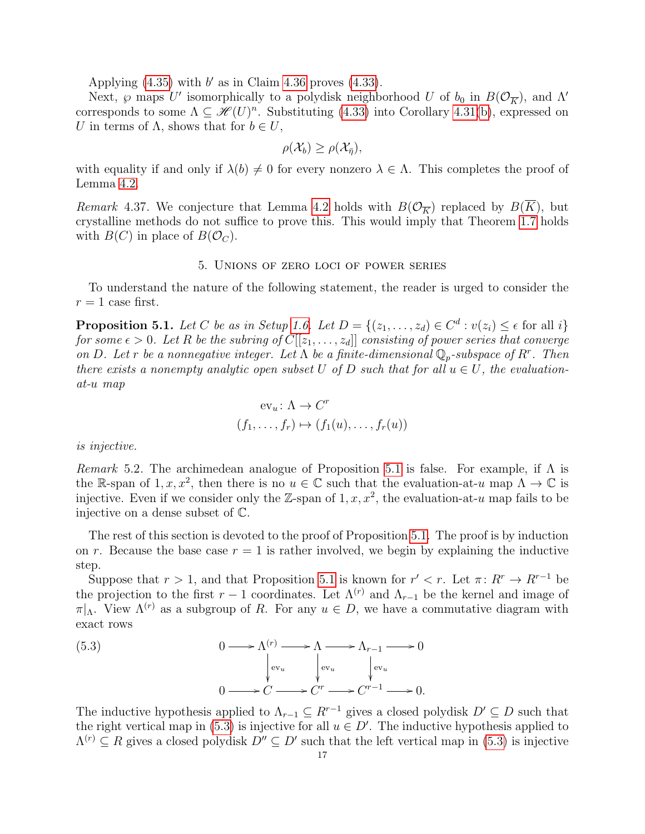Applying  $(4.35)$  with  $b'$  as in Claim [4.36](#page-15-5) proves  $(4.33)$ .

Next,  $\wp$  maps U' isomorphically to a polydisk neighborhood U of  $b_0$  in  $B(\mathcal{O}_{\overline{K}})$ , and  $\Lambda'$ corresponds to some  $\Lambda \subseteq \mathcal{H}(U)^n$ . Substituting [\(4.33\)](#page-15-6) into Corollary [4.31\(](#page-14-1)[b\)](#page-15-3), expressed on U in terms of  $\Lambda$ , shows that for  $b \in U$ ,

$$
\rho(\mathcal{X}_b) \geq \rho(\mathcal{X}_{\bar{\eta}}),
$$

with equality if and only if  $\lambda(b) \neq 0$  for every nonzero  $\lambda \in \Lambda$ . This completes the proof of Lemma [4.2.](#page-8-0)

Remark 4.37. We conjecture that Lemma [4.2](#page-8-0) holds with  $B(\mathcal{O}_{\overline{K}})$  replaced by  $B(K)$ , but crystalline methods do not suffice to prove this. This would imply that Theorem [1.7](#page-1-0) holds with  $B(C)$  in place of  $B(\mathcal{O}_C)$ .

#### 5. Unions of zero loci of power series

<span id="page-16-1"></span>To understand the nature of the following statement, the reader is urged to consider the  $r = 1$  case first.

<span id="page-16-0"></span>**Proposition 5.1.** Let C be as in Setup [1.6.](#page-1-1) Let  $D = \{(z_1, \ldots, z_d) \in C^d : v(z_i) \leq \epsilon \text{ for all } i\}$ for some  $\epsilon > 0$ . Let R be the subring of  $C[[z_1, \ldots, z_d]]$  consisting of power series that converge on D. Let r be a nonnegative integer. Let  $\Lambda$  be a finite-dimensional  $\mathbb{Q}_p$ -subspace of R<sup>r</sup>. Then there exists a nonempty analytic open subset U of D such that for all  $u \in U$ , the evaluationat-u map

$$
ev_u \colon \Lambda \to C^r
$$
  

$$
(f_1, \ldots, f_r) \mapsto (f_1(u), \ldots, f_r(u))
$$

is injective.

Remark 5.2. The archimedean analogue of Proposition [5.1](#page-16-0) is false. For example, if  $\Lambda$  is the R-span of 1, x, x<sup>2</sup>, then there is no  $u \in \mathbb{C}$  such that the evaluation-at-u map  $\Lambda \to \mathbb{C}$  is injective. Even if we consider only the Z-span of  $1, x, x^2$ , the evaluation-at-u map fails to be injective on a dense subset of C.

The rest of this section is devoted to the proof of Proposition [5.1.](#page-16-0) The proof is by induction on r. Because the base case  $r = 1$  is rather involved, we begin by explaining the inductive step.

Suppose that  $r > 1$ , and that Proposition [5.1](#page-16-0) is known for  $r' < r$ . Let  $\pi: R^r \to R^{r-1}$  be the projection to the first r – 1 coordinates. Let  $\Lambda^{(r)}$  and  $\Lambda_{r-1}$  be the kernel and image of  $\pi|_{\Lambda}$ . View  $\Lambda^{(r)}$  as a subgroup of R. For any  $u \in D$ , we have a commutative diagram with exact rows

<span id="page-16-2"></span>(5.3) 
$$
0 \longrightarrow \Lambda^{(r)} \longrightarrow \Lambda \longrightarrow \Lambda_{r-1} \longrightarrow 0
$$

$$
\downarrow_{\text{ev}_u} \qquad \downarrow_{\text{ev}_u} \qquad \downarrow_{\text{ev}_u} \qquad \downarrow_{\text{ev}_u}
$$

$$
0 \longrightarrow C \longrightarrow C^r \longrightarrow C^{r-1} \longrightarrow 0.
$$

The inductive hypothesis applied to  $\Lambda_{r-1} \subseteq R^{r-1}$  gives a closed polydisk  $D' \subseteq D$  such that the right vertical map in [\(5.3\)](#page-16-2) is injective for all  $u \in D'$ . The inductive hypothesis applied to  $\Lambda^{(r)} \subseteq R$  gives a closed polydisk  $D'' \subseteq D'$  such that the left vertical map in [\(5.3\)](#page-16-2) is injective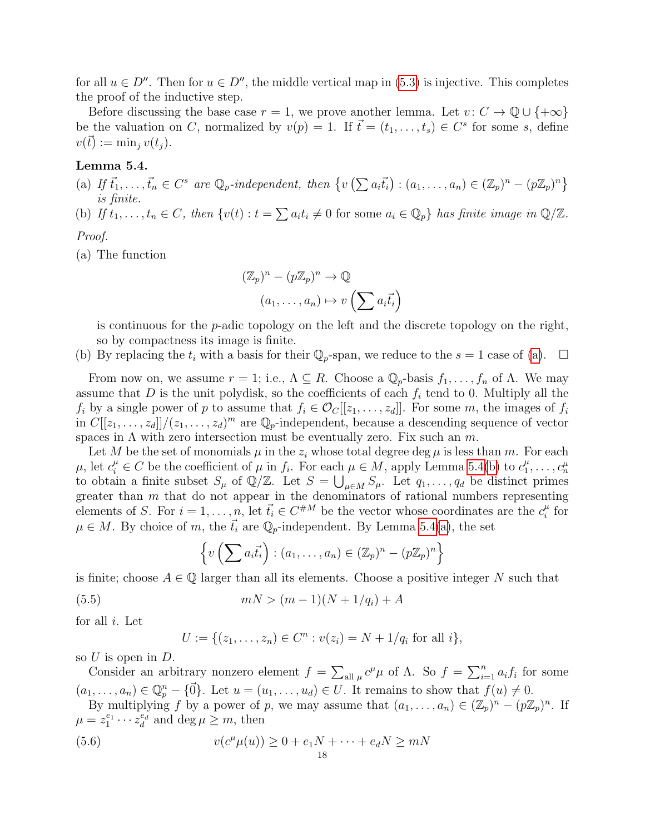for all  $u \in D''$ . Then for  $u \in D''$ , the middle vertical map in [\(5.3\)](#page-16-2) is injective. This completes the proof of the inductive step.

Before discussing the base case  $r = 1$ , we prove another lemma. Let  $v : C \to \mathbb{Q} \cup \{+\infty\}$ be the valuation on C, normalized by  $v(p) = 1$ . If  $\vec{t} = (t_1, \ldots, t_s) \in C^s$  for some s, define  $v(\bar{t}) := \min_i v(t_i).$ 

### <span id="page-17-1"></span>Lemma 5.4.

- <span id="page-17-0"></span>(a) If  $\vec{t}_1, \ldots, \vec{t}_n \in C^s$  are  $\mathbb{Q}_p$ -independent, then  $\{v\left(\sum a_i\vec{t}_i\right) : (a_1, \ldots, a_n) \in (\mathbb{Z}_p)^n - (p\mathbb{Z}_p)^n\}$ is finite.
- <span id="page-17-2"></span>(b) If  $t_1, \ldots, t_n \in C$ , then  $\{v(t) : t = \sum a_i t_i \neq 0 \text{ for some } a_i \in \mathbb{Q}_p\}$  has finite image in  $\mathbb{Q}/\mathbb{Z}$ .

## Proof.

(a) The function

$$
(\mathbb{Z}_p)^n - (p\mathbb{Z}_p)^n \to \mathbb{Q}
$$

$$
(a_1, \dots, a_n) \mapsto v\left(\sum a_i \vec{t}_i\right)
$$

is continuous for the  $p$ -adic topology on the left and the discrete topology on the right, so by compactness its image is finite.

(b) By replacing the  $t_i$  with a basis for their  $\mathbb{Q}_p$ -span, we reduce to the  $s = 1$  case of [\(a\)](#page-17-0).  $\Box$ 

From now on, we assume  $r = 1$ ; i.e.,  $\Lambda \subseteq R$ . Choose a  $\mathbb{Q}_p$ -basis  $f_1, \ldots, f_n$  of  $\Lambda$ . We may assume that  $D$  is the unit polydisk, so the coefficients of each  $f_i$  tend to 0. Multiply all the  $f_i$  by a single power of p to assume that  $f_i \in \mathcal{O}_C[[z_1, \ldots, z_d]]$ . For some m, the images of  $f_i$ in  $C[[z_1,\ldots,z_d]]/(z_1,\ldots,z_d)^m$  are  $\mathbb{Q}_p$ -independent, because a descending sequence of vector spaces in  $\Lambda$  with zero intersection must be eventually zero. Fix such an m.

Let M be the set of monomials  $\mu$  in the  $z_i$  whose total degree deg  $\mu$  is less than m. For each  $\mu$ , let  $c_i^{\mu} \in C$  be the coefficient of  $\mu$  in  $f_i$ . For each  $\mu \in M$ , apply Lemma [5.4](#page-17-1)[\(b\)](#page-17-2) to  $c_1^{\mu}$  $\mu$ , let  $c_i^{\mu} \in C$  be the coefficient of  $\mu$  in  $f_i$ . For each  $\mu \in M$ , apply Lemma 5.4(b) to  $c_1^{\mu}, \ldots, c_n^{\mu}$  to obtain a finite subset  $S_{\mu}$  of  $\mathbb{Q}/\mathbb{Z}$ . Let  $S = \bigcup_{\mu \in M} S_{\mu}$ . Let  $q_1, \ldots, q_d$  be disti greater than m that do not appear in the denominators of rational numbers representing elements of S. For  $i = 1, \ldots, n$ , let  $\vec{t}_i \in C^{\#M}$  be the vector whose coordinates are the  $c_i^{\mu}$  $\frac{\mu}{i}$  for  $\mu \in M$ . By choice of m, the  $\vec{t}_i$  are  $\mathbb{Q}_p$ -independent. By Lemma [5.4\(](#page-17-1)[a\)](#page-17-0), the set

<span id="page-17-3"></span>
$$
\left\{v\left(\sum a_i\vec{t}_i\right) : (a_1,\ldots,a_n) \in (\mathbb{Z}_p)^n - (p\mathbb{Z}_p)^n\right\}
$$

is finite; choose  $A \in \mathbb{Q}$  larger than all its elements. Choose a positive integer N such that

(5.5) 
$$
mN > (m-1)(N+1/q_i) + A
$$

for all  $i$ . Let

<span id="page-17-4"></span>
$$
U := \{(z_1, \ldots, z_n) \in C^n : v(z_i) = N + 1/q_i \text{ for all } i\},\
$$

so  $U$  is open in  $D$ .

Consider an arbitrary nonzero element  $f = \sum_{\text{all }\mu} c^{\mu} \mu$  of  $\Lambda$ . So  $f = \sum_{i=1}^{n} a_i f_i$  for some  $(a_1, \ldots, a_n) \in \mathbb{Q}_p^n - \{\vec{0}\}\.$  Let  $u = (u_1, \ldots, u_d) \in U$ . It remains to show that  $f(u) \neq 0$ .

By multiplying f by a power of p, we may assume that  $(a_1, \ldots, a_n) \in (\mathbb{Z}_p)^n - (p\mathbb{Z}_p)^n$ . If  $\mu = z_1^{e_1} \cdots z_d^{e_d}$  and  $\deg \mu \geq m$ , then

(5.6) 
$$
v(c^{\mu}\mu(u)) \ge 0 + e_1N + \dots + e_dN \ge mN
$$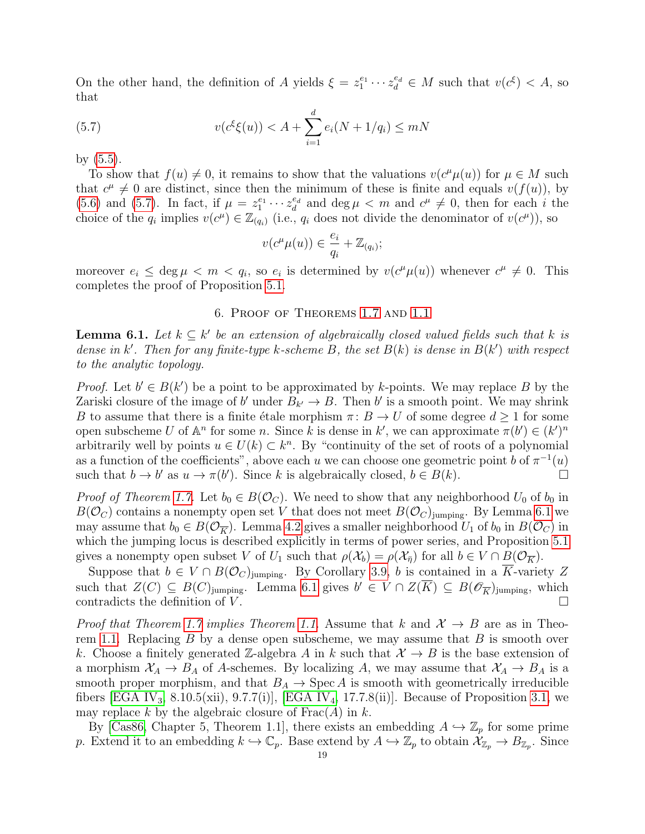On the other hand, the definition of A yields  $\xi = z_1^{e_1} \cdots z_d^{e_d} \in M$  such that  $v(c^{\xi}) < A$ , so that

(5.7) 
$$
v(c^{\xi}\xi(u)) < A + \sum_{i=1}^{d} e_i(N + 1/q_i) \leq mN
$$

by [\(5.5\)](#page-17-3).

To show that  $f(u) \neq 0$ , it remains to show that the valuations  $v(c^{\mu}\mu(u))$  for  $\mu \in M$  such that  $c^{\mu} \neq 0$  are distinct, since then the minimum of these is finite and equals  $v(f(u))$ , by [\(5.6\)](#page-17-4) and [\(5.7\)](#page-18-1). In fact, if  $\mu = z_1^{e_1} \cdots z_d^{e_d}$  and  $\deg \mu < m$  and  $c^{\mu} \neq 0$ , then for each i the choice of the  $q_i$  implies  $v(c^{\mu}) \in \mathbb{Z}_{(q_i)}$  (i.e.,  $q_i$  does not divide the denominator of  $v(c^{\mu})$ ), so

<span id="page-18-1"></span>
$$
v(c^{\mu}\mu(u)) \in \frac{e_i}{q_i} + \mathbb{Z}_{(q_i)};
$$

moreover  $e_i \leq \deg \mu < m < q_i$ , so  $e_i$  is determined by  $v(c^{\mu}\mu(u))$  whenever  $c^{\mu} \neq 0$ . This completes the proof of Proposition [5.1.](#page-16-0)

### 6. Proof of Theorems [1.7](#page-1-0) and [1.1](#page-0-0)

<span id="page-18-2"></span><span id="page-18-0"></span>**Lemma 6.1.** Let  $k \subseteq k'$  be an extension of algebraically closed valued fields such that k is dense in k'. Then for any finite-type k-scheme B, the set  $B(k)$  is dense in  $B(k')$  with respect to the analytic topology.

*Proof.* Let  $b' \in B(k')$  be a point to be approximated by k-points. We may replace B by the Zariski closure of the image of b' under  $B_{k'} \to B$ . Then b' is a smooth point. We may shrink B to assume that there is a finite étale morphism  $\pi : B \to U$  of some degree  $d \geq 1$  for some open subscheme U of  $\mathbb{A}^n$  for some n. Since k is dense in k', we can approximate  $\pi(b') \in (k')^n$ arbitrarily well by points  $u \in U(k) \subset k^n$ . By "continuity of the set of roots of a polynomial as a function of the coefficients", above each u we can choose one geometric point b of  $\pi^{-1}(u)$ such that  $b \to b'$  as  $u \to \pi(b')$ . Since k is algebraically closed,  $b \in B(k)$ .

*Proof of Theorem [1.7.](#page-1-0)* Let  $b_0 \in B(\mathcal{O}_C)$ . We need to show that any neighborhood  $U_0$  of  $b_0$  in  $B(\mathcal{O}_C)$  contains a nonempty open set V that does not meet  $B(\mathcal{O}_C)_{\text{jumping}}$ . By Lemma [6.1](#page-18-2) we may assume that  $b_0 \in B(\mathcal{O}_{\overline{K}})$ . Lemma [4.2](#page-8-0) gives a smaller neighborhood  $U_1$  of  $b_0$  in  $B(\mathcal{O}_C)$  in which the jumping locus is described explicitly in terms of power series, and Proposition [5.1](#page-16-0) gives a nonempty open subset V of  $U_1$  such that  $\rho(\mathcal{X}_b) = \rho(\mathcal{X}_{\overline{n}})$  for all  $b \in V \cap B(\mathcal{O}_{\overline{K}})$ .

Suppose that  $b \in V \cap B(\mathcal{O}_C)$ jumping. By Corollary [3.9,](#page-7-1) b is contained in a K-variety Z such that  $Z(C) \subseteq B(C)$ jumping. Lemma [6.1](#page-18-2) gives  $b' \in V \cap Z(\overline{K}) \subseteq B(\mathscr{O}_{\overline{K}})$ jumping, which contradicts the definition of  $V$ .

*Proof that Theorem [1.7](#page-1-0) implies Theorem [1.1.](#page-0-0)* Assume that k and  $\mathcal{X} \to B$  are as in Theo-rem [1.1.](#page-0-0) Replacing  $B$  by a dense open subscheme, we may assume that  $B$  is smooth over k. Choose a finitely generated Z-algebra A in k such that  $\mathcal{X} \to B$  is the base extension of a morphism  $X_A \to B_A$  of A-schemes. By localizing A, we may assume that  $X_A \to B_A$  is a smooth proper morphism, and that  $B_A \to \text{Spec } A$  is smooth with geometrically irreducible fibers [\[EGA IV](#page-26-14)<sub>3</sub>, 8.10.5(xii), 9.7.7(i)], [EGA IV<sub>4</sub>, 17.7.8(ii)]. Because of Proposition [3.1,](#page-5-0) we may replace k by the algebraic closure of  $Frac(A)$  in k.

By [\[Cas86,](#page-26-15) Chapter 5, Theorem 1.1], there exists an embedding  $A \hookrightarrow \mathbb{Z}_p$  for some prime p. Extend it to an embedding  $k \hookrightarrow \mathbb{C}_p$ . Base extend by  $A \hookrightarrow \mathbb{Z}_p$  to obtain  $\mathcal{X}_{\mathbb{Z}_p} \to B_{\mathbb{Z}_p}$ . Since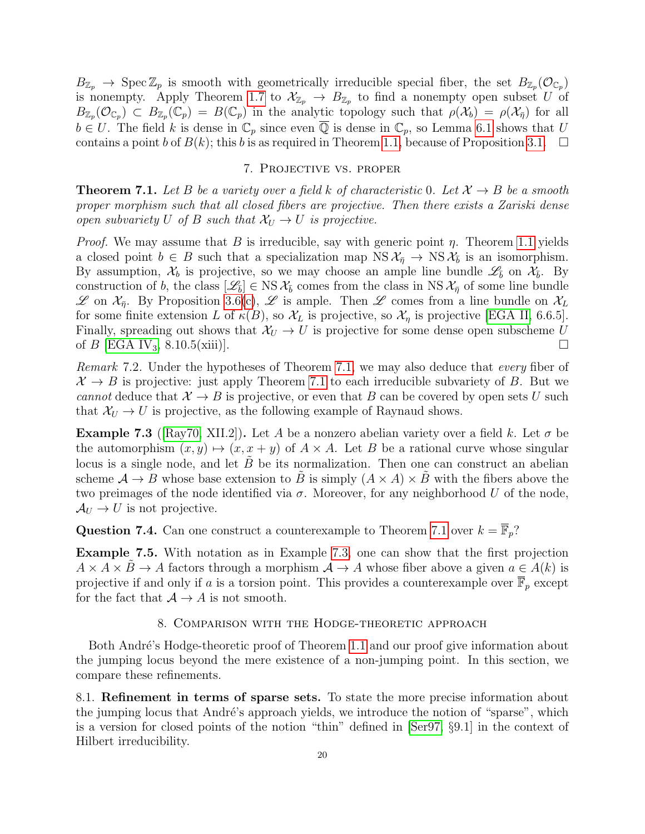$B_{\mathbb{Z}_p} \to \text{Spec } \mathbb{Z}_p$  is smooth with geometrically irreducible special fiber, the set  $B_{\mathbb{Z}_p}(\mathcal{O}_{\mathbb{C}_p})$ is nonempty. Apply Theorem [1.7](#page-1-0) to  $\mathcal{X}_{\mathbb{Z}_p} \to B_{\mathbb{Z}_p}$  to find a nonempty open subset U of  $B_{\mathbb{Z}_p}(\mathcal{O}_{\mathbb{C}_p}) \subset B_{\mathbb{Z}_p}(\mathbb{C}_p) = B(\mathbb{C}_p)$  in the analytic topology such that  $\rho(\mathcal{X}_b) = \rho(\mathcal{X}_{\bar{\eta}})$  for all  $b \in U$ . The field k is dense in  $\mathbb{C}_p$  since even  $\overline{\mathbb{Q}}$  is dense in  $\mathbb{C}_p$ , so Lemma [6.1](#page-18-2) shows that U contains a point b of  $B(k)$ ; this b is as required in Theorem [1.1,](#page-0-0) because of Proposition [3.1.](#page-5-0)  $\Box$ 

#### 7. Projective vs. proper

<span id="page-19-2"></span><span id="page-19-1"></span>**Theorem 7.1.** Let B be a variety over a field k of characteristic 0. Let  $\mathcal{X} \rightarrow B$  be a smooth proper morphism such that all closed fibers are projective. Then there exists a Zariski dense open subvariety U of B such that  $\mathcal{X}_U \to U$  is projective.

*Proof.* We may assume that B is irreducible, say with generic point  $\eta$ . Theorem [1.1](#page-0-0) yields a closed point  $b \in B$  such that a specialization map  $NS \mathcal{X}_{\bar{\eta}} \to NS \mathcal{X}_{\bar{b}}$  is an isomorphism. By assumption,  $\mathcal{X}_b$  is projective, so we may choose an ample line bundle  $\mathscr{L}_{\bar{b}}$  on  $\mathcal{X}_{\bar{b}}$ . By construction of b, the class  $[\mathscr{L}_{\bar{b}}] \in \text{NS } \mathcal{X}_{\bar{b}}$  comes from the class in NS  $\mathcal{X}_{\bar{\eta}}$  of some line bundle  $\mathscr L$  on  $\mathcal X_{\bar n}$ . By Proposition [3.6](#page-6-0)[\(c\)](#page-6-4),  $\mathscr L$  is ample. Then  $\mathscr L$  comes from a line bundle on  $\mathcal X_L$ for some finite extension L of  $\kappa(B)$ , so  $\mathcal{X}_L$  is projective, so  $\mathcal{X}_\eta$  is projective [\[EGA II,](#page-26-16) 6.6.5]. Finally, spreading out shows that  $\mathcal{X}_U \to U$  is projective for some dense open subscheme U of  $B$  [\[EGA IV](#page-26-13)<sub>3</sub>, 8.10.5(xiii)].

Remark 7.2. Under the hypotheses of Theorem [7.1,](#page-19-2) we may also deduce that every fiber of  $\mathcal{X} \to B$  is projective: just apply Theorem [7.1](#page-19-2) to each irreducible subvariety of B. But we cannot deduce that  $\mathcal{X} \to B$  is projective, or even that B can be covered by open sets U such that  $\mathcal{X}_U \to U$  is projective, as the following example of Raynaud shows.

<span id="page-19-3"></span>**Example 7.3** ([\[Ray70,](#page-27-20) XII.2]). Let A be a nonzero abelian variety over a field k. Let  $\sigma$  be the automorphism  $(x, y) \mapsto (x, x + y)$  of  $A \times A$ . Let B be a rational curve whose singular locus is a single node, and let  $\hat{B}$  be its normalization. Then one can construct an abelian scheme  $A \to B$  whose base extension to B is simply  $(A \times A) \times B$  with the fibers above the two preimages of the node identified via  $\sigma$ . Moreover, for any neighborhood U of the node,  $\mathcal{A}_U \rightarrow U$  is not projective.

**Question 7.4.** Can one construct a counterexample to Theorem [7.1](#page-19-2) over  $k = \overline{\mathbb{F}}_p$ ?

Example 7.5. With notation as in Example [7.3,](#page-19-3) one can show that the first projection  $A \times A \times B \to A$  factors through a morphism  $A \to A$  whose fiber above a given  $a \in A(k)$  is projective if and only if a is a torsion point. This provides a counterexample over  $\overline{\mathbb{F}}_p$  except for the fact that  $A \rightarrow A$  is not smooth.

### 8. Comparison with the Hodge-theoretic approach

<span id="page-19-0"></span>Both André's Hodge-theoretic proof of Theorem [1.1](#page-0-0) and our proof give information about the jumping locus beyond the mere existence of a non-jumping point. In this section, we compare these refinements.

<span id="page-19-4"></span>8.1. Refinement in terms of sparse sets. To state the more precise information about the jumping locus that André's approach yields, we introduce the notion of "sparse", which is a version for closed points of the notion "thin" defined in [\[Ser97,](#page-27-21) §9.1] in the context of Hilbert irreducibility.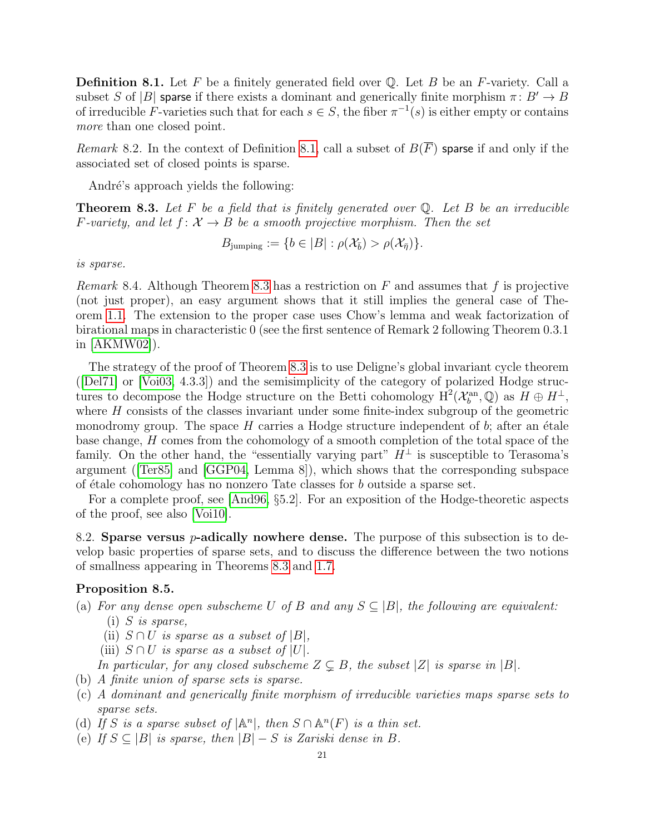<span id="page-20-0"></span>**Definition 8.1.** Let F be a finitely generated field over  $\mathbb{O}$ . Let B be an F-variety. Call a subset S of |B| sparse if there exists a dominant and generically finite morphism  $\pi: B' \to B$ of irreducible F-varieties such that for each  $s \in S$ , the fiber  $\pi^{-1}(s)$  is either empty or contains more than one closed point.

Remark 8.2. In the context of Definition [8.1,](#page-20-0) call a subset of  $B(\overline{F})$  sparse if and only if the associated set of closed points is sparse.

André's approach yields the following:

<span id="page-20-1"></span>**Theorem 8.3.** Let F be a field that is finitely generated over  $\mathbb Q$ . Let B be an irreducible F-variety, and let  $f: \mathcal{X} \to B$  be a smooth projective morphism. Then the set

$$
B_{\text{jumping}} := \{b \in |B| : \rho(\mathcal{X}_{\bar{b}}) > \rho(\mathcal{X}_{\bar{\eta}}) \}.
$$

is sparse.

<span id="page-20-5"></span>*Remark* 8.4. Although Theorem [8.3](#page-20-1) has a restriction on F and assumes that f is projective (not just proper), an easy argument shows that it still implies the general case of Theorem [1.1.](#page-0-0) The extension to the proper case uses Chow's lemma and weak factorization of birational maps in characteristic 0 (see the first sentence of Remark 2 following Theorem 0.3.1 in [\[AKMW02\]](#page-25-0)).

The strategy of the proof of Theorem [8.3](#page-20-1) is to use Deligne's global invariant cycle theorem ([\[Del71\]](#page-26-17) or [\[Voi03,](#page-28-3) 4.3.3]) and the semisimplicity of the category of polarized Hodge structures to decompose the Hodge structure on the Betti cohomology  $H^2(\mathcal{X}_b^{\text{an}}, \mathbb{Q})$  as  $H \oplus H^{\perp}$ , where  $H$  consists of the classes invariant under some finite-index subgroup of the geometric monodromy group. The space  $H$  carries a Hodge structure independent of  $b$ ; after an étale base change, H comes from the cohomology of a smooth completion of the total space of the family. On the other hand, the "essentially varying part"  $H^{\perp}$  is susceptible to Terasoma's argument ([\[Ter85\]](#page-28-1) and [\[GGP04,](#page-26-18) Lemma 8]), which shows that the corresponding subspace of  $\acute{e}$ tale cohomology has no nonzero Tate classes for b outside a sparse set.

For a complete proof, see [\[And96,](#page-26-0) §5.2]. For an exposition of the Hodge-theoretic aspects of the proof, see also [\[Voi10\]](#page-28-7).

8.2. Sparse versus *p*-adically nowhere dense. The purpose of this subsection is to develop basic properties of sparse sets, and to discuss the difference between the two notions of smallness appearing in Theorems [8.3](#page-20-1) and [1.7.](#page-1-0)

### <span id="page-20-4"></span>Proposition 8.5.

- (a) For any dense open subscheme U of B and any  $S \subseteq |B|$ , the following are equivalent:  $(i)$  S is sparse,
	- (ii)  $S \cap U$  is sparse as a subset of  $|B|$ ,
	- (iii)  $S \cap U$  is sparse as a subset of |U|.

In particular, for any closed subscheme  $Z \subsetneq B$ , the subset  $|Z|$  is sparse in  $|B|$ .

- (b) A finite union of sparse sets is sparse.
- <span id="page-20-2"></span>(c) A dominant and generically finite morphism of irreducible varieties maps sparse sets to sparse sets.
- <span id="page-20-3"></span>(d) If S is a sparse subset of  $|\mathbb{A}^n|$ , then  $S \cap \mathbb{A}^n(F)$  is a thin set.
- (e) If  $S \subseteq |B|$  is sparse, then  $|B| S$  is Zariski dense in B.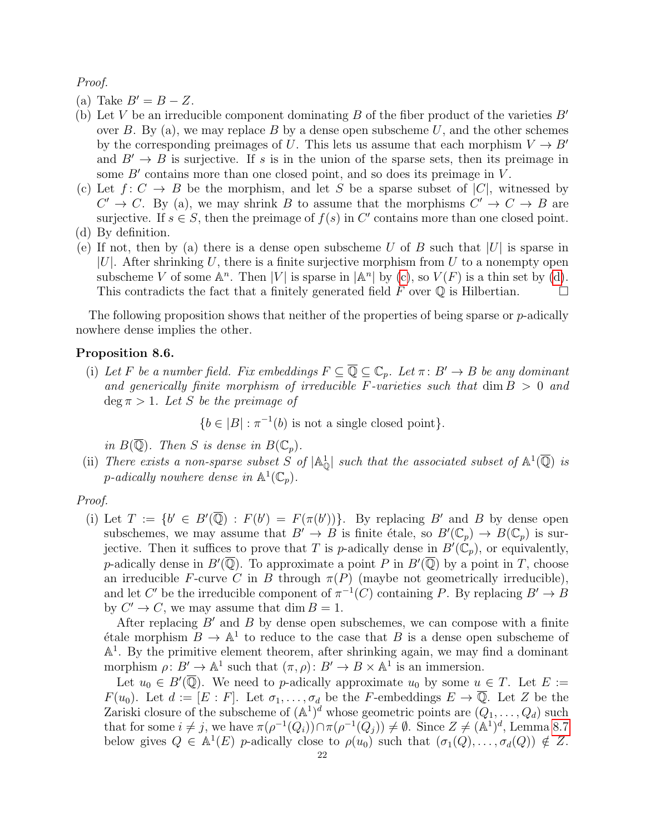Proof.

- (a) Take  $B'=B-Z$ .
- (b) Let V be an irreducible component dominating B of the fiber product of the varieties  $B'$ over B. By (a), we may replace B by a dense open subscheme U, and the other schemes by the corresponding preimages of U. This lets us assume that each morphism  $V \to B'$ and  $B' \rightarrow B$  is surjective. If s is in the union of the sparse sets, then its preimage in some  $B'$  contains more than one closed point, and so does its preimage in  $V$ .
- (c) Let  $f: C \to B$  be the morphism, and let S be a sparse subset of  $|C|$ , witnessed by  $C' \rightarrow C$ . By (a), we may shrink B to assume that the morphisms  $C' \rightarrow C \rightarrow B$  are surjective. If  $s \in S$ , then the preimage of  $f(s)$  in C' contains more than one closed point.
- (d) By definition.
- (e) If not, then by (a) there is a dense open subscheme U of B such that  $|U|$  is sparse in  $|U|$ . After shrinking U, there is a finite surjective morphism from U to a nonempty open subscheme V of some  $\mathbb{A}^n$ . Then |V| is sparse in  $|\mathbb{A}^n|$  by [\(c\)](#page-20-2), so  $V(F)$  is a thin set by [\(d\)](#page-20-3). This contradicts the fact that a finitely generated field F over  $\mathbb O$  is Hilbertian.

The following proposition shows that neither of the properties of being sparse or  $p$ -adically nowhere dense implies the other.

### Proposition 8.6.

(i) Let F be a number field. Fix embeddings  $F \subseteq \overline{\mathbb{Q}} \subseteq \mathbb{C}_p$ . Let  $\pi: B' \to B$  be any dominant and generically finite morphism of irreducible F-varieties such that  $\dim B > 0$  and deg  $\pi > 1$ . Let S be the preimage of

 ${b \in |B| : \pi^{-1}(b) \text{ is not a single closed point}}.$ 

in  $B(\overline{\mathbb{Q}})$ . Then S is dense in  $B(\mathbb{C}_p)$ .

(ii) There exists a non-sparse subset S of  $|\mathbb{A}_{\mathbb{Q}}^1|$  such that the associated subset of  $\mathbb{A}^1(\overline{\mathbb{Q}})$  is p-adically nowhere dense in  $\mathbb{A}^1(\mathbb{C}_p)$ .

#### Proof.

(i) Let  $T := \{b' \in B'(\overline{\mathbb{Q}}) : F(b') = F(\pi(b'))\}.$  By replacing B' and B by dense open subschemes, we may assume that  $B' \to B$  is finite étale, so  $B'(\mathbb{C}_p) \to B(\mathbb{C}_p)$  is surjective. Then it suffices to prove that T is p-adically dense in  $B(\mathbb{C}_p)$ , or equivalently, p-adically dense in  $B'(\overline{\mathbb{Q}})$ . To approximate a point P in  $B'(\overline{\mathbb{Q}})$  by a point in T, choose an irreducible F-curve C in B through  $\pi(P)$  (maybe not geometrically irreducible), and let C' be the irreducible component of  $\pi^{-1}(C)$  containing P. By replacing  $B' \to B$ by  $C' \to C$ , we may assume that dim  $B = 1$ .

After replacing  $B'$  and B by dense open subschemes, we can compose with a finite  $\acute{e}$ tale morphism  $B \to \mathbb{A}^1$  to reduce to the case that B is a dense open subscheme of A 1 . By the primitive element theorem, after shrinking again, we may find a dominant morphism  $\rho: B' \to \mathbb{A}^1$  such that  $(\pi, \rho): B' \to B \times \mathbb{A}^1$  is an immersion.

Let  $u_0 \in B(\overline{\mathbb{Q}})$ . We need to p-adically approximate  $u_0$  by some  $u \in T$ . Let  $E :=$  $F(u_0)$ . Let  $d := [E : F]$ . Let  $\sigma_1, \ldots, \sigma_d$  be the F-embeddings  $E \to \overline{\mathbb{Q}}$ . Let Z be the Zariski closure of the subscheme of  $(\mathbb{A}^1)^d$  whose geometric points are  $(Q_1, \ldots, Q_d)$  such that for some  $i \neq j$ , we have  $\pi(\rho^{-1}(Q_i)) \cap \pi(\rho^{-1}(Q_j)) \neq \emptyset$ . Since  $Z \neq (\mathbb{A}^1)^d$ , Lemma [8.7](#page-22-1) below gives  $Q \in \mathbb{A}^1(E)$  p-adically close to  $\rho(u_0)$  such that  $(\sigma_1(Q), \ldots, \sigma_d(Q)) \notin Z$ .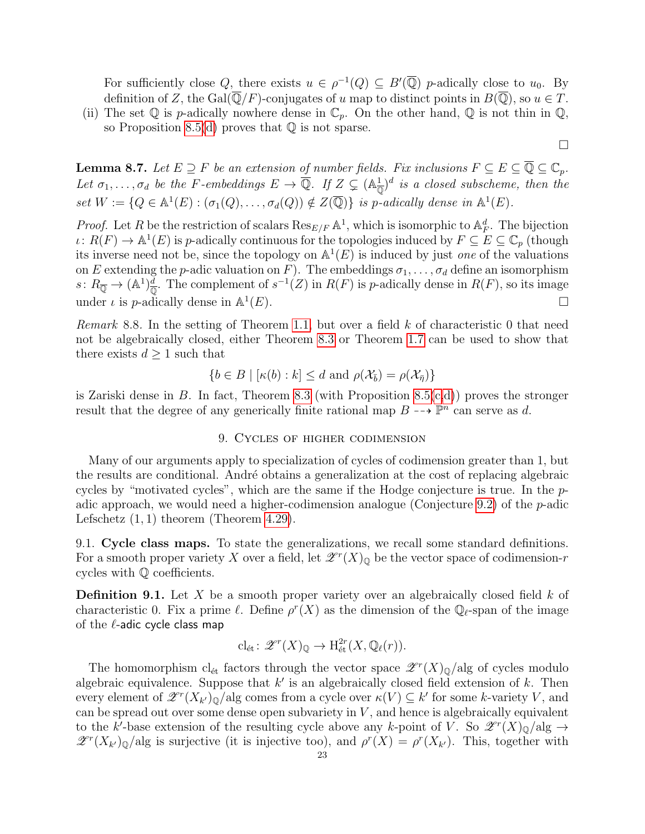For sufficiently close Q, there exists  $u \in \rho^{-1}(Q) \subseteq B'(\overline{\mathbb{Q}})$  p-adically close to  $u_0$ . By definition of Z, the Gal( $\overline{\mathbb{Q}}/F$ )-conjugates of u map to distinct points in  $B(\overline{\mathbb{Q}})$ , so  $u \in T$ .

(ii) The set  $\mathbb Q$  is p-adically nowhere dense in  $\mathbb C_p$ . On the other hand,  $\mathbb Q$  is not thin in  $\mathbb Q$ , so Proposition [8.5\(](#page-20-4)[d\)](#page-20-3) proves that  $\mathbb Q$  is not sparse.

 $\Box$ 

<span id="page-22-1"></span>**Lemma 8.7.** Let  $E \supseteq F$  be an extension of number fields. Fix inclusions  $F \subseteq E \subseteq \overline{\mathbb{Q}} \subseteq \mathbb{C}_p$ . Let  $\sigma_1,\ldots,\sigma_d$  be the F-embeddings  $E \to \overline{\mathbb{Q}}$ . If  $Z \subsetneq (\mathbb{A}_{\overline{\mathbb{Q}}})^d$  is a closed subscheme, then the set  $W := \{Q \in \mathbb{A}^1(E) : (\sigma_1(Q), \ldots, \sigma_d(Q)) \notin Z(\overline{\mathbb{Q}})\}\$ is p-adically dense in  $\mathbb{A}^1(E)$ .

*Proof.* Let R be the restriction of scalars  $\text{Res}_{E/F} \mathbb{A}^1$ , which is isomorphic to  $\mathbb{A}_F^d$ . The bijection  $\iota: R(F) \to \mathbb{A}^1(E)$  is p-adically continuous for the topologies induced by  $F \subseteq E \subseteq \mathbb{C}_p$  (though its inverse need not be, since the topology on  $\mathbb{A}^1(E)$  is induced by just one of the valuations on E extending the p-adic valuation on F). The embeddings  $\sigma_1, \ldots, \sigma_d$  define an isomorphism  $s\colon R_{\overline{\mathbb{Q}}}\to (\mathbb{A}^1)^{\overline{d}}_{\overline{\mathbb{Q}}}$ . The complement of  $s^{-1}(Z)$  in  $R(F)$  is p-adically dense in  $R(F)$ , so its image under  $\iota$  is *p*-adically dense in  $\mathbb{A}^1$  $(E).$ 

Remark 8.8. In the setting of Theorem [1.1,](#page-0-0) but over a field  $k$  of characteristic 0 that need not be algebraically closed, either Theorem [8.3](#page-20-1) or Theorem [1.7](#page-1-0) can be used to show that there exists  $d \geq 1$  such that

$$
\{b \in B \mid [\kappa(b) : k] \le d \text{ and } \rho(\mathcal{X}_{\bar{b}}) = \rho(\mathcal{X}_{\bar{\eta}})\}
$$

is Zariski dense in B. In fact, Theorem [8.3](#page-20-1) (with Proposition 8.5 $(c,d)$  $(c,d)$  $(c,d)$ ) proves the stronger result that the degree of any generically finite rational map  $B \dashrightarrow \mathbb{P}^n$  can serve as d.

#### 9. Cycles of higher codimension

<span id="page-22-0"></span>Many of our arguments apply to specialization of cycles of codimension greater than 1, but the results are conditional. André obtains a generalization at the cost of replacing algebraic cycles by "motivated cycles", which are the same if the Hodge conjecture is true. In the  $p$ -adic approach, we would need a higher-codimension analogue (Conjecture [9.2\)](#page-23-0) of the  $p$ -adic Lefschetz  $(1, 1)$  theorem (Theorem [4.29\)](#page-13-4).

9.1. Cycle class maps. To state the generalizations, we recall some standard definitions. For a smooth proper variety X over a field, let  $\mathscr{Z}^r(X)_{\mathbb{Q}}$  be the vector space of codimension-r cycles with Q coefficients.

<span id="page-22-2"></span>**Definition 9.1.** Let X be a smooth proper variety over an algebraically closed field  $k$  of characteristic 0. Fix a prime  $\ell$ . Define  $\rho^r(X)$  as the dimension of the  $\mathbb{Q}_{\ell}$ -span of the image of the  $\ell$ -adic cycle class map

$$
\mathrm{cl}_{\mathrm{\acute{e}t}}\colon \mathscr{Z}^r(X)_{\mathbb{Q}} \to \mathrm{H}^{2r}_{\mathrm{\acute{e}t}}(X, \mathbb{Q}_{\ell}(r)).
$$

The homomorphism  $cl_{\text{\'et}}$  factors through the vector space  $\mathscr{Z}^r(X)_{\mathbb{Q}}/alg$  of cycles modulo algebraic equivalence. Suppose that  $k'$  is an algebraically closed field extension of k. Then every element of  $\mathscr{Z}^r(X_{k'})_{{\mathbb Q}}/alg$  comes from a cycle over  $\kappa(V) \subseteq k'$  for some k-variety V, and can be spread out over some dense open subvariety in  $V$ , and hence is algebraically equivalent to the k'-base extension of the resulting cycle above any k-point of V. So  $\mathscr{L}^r(X)_{\mathbb{Q}}/\text{alg} \to$  $\mathscr{Z}^r(X_{k'})_Q$  alg is surjective (it is injective too), and  $\rho^r(X) = \rho^r(X_{k'})$ . This, together with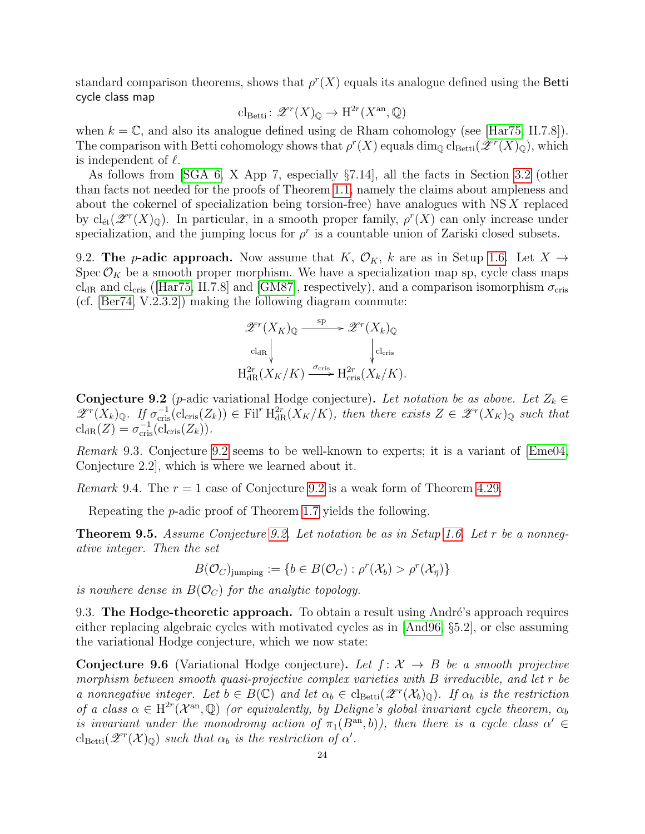standard comparison theorems, shows that  $\rho^r(X)$  equals its analogue defined using the Betti cycle class map

$$
\mathrm{cl}_{\mathrm{Betti}}\colon \mathscr{Z}^r(X)_{\mathbb{Q}} \to \mathrm{H}^{2r}(X^{\mathrm{an}}, \mathbb{Q})
$$

when  $k = \mathbb{C}$ , and also its analogue defined using de Rham cohomology (see [\[Har75,](#page-27-17) II.7.8]). The comparison with Betti cohomology shows that  $\rho^r(X)$  equals  $\dim_{\mathbb{Q}} \text{cl}_{\text{Betti}}(\mathscr{Z}^r(X)_{\mathbb{Q}})$ , which is independent of  $\ell$ .

As follows from [\[SGA 6,](#page-28-6) X App 7, especially §7.14], all the facts in Section [3.2](#page-5-4) (other than facts not needed for the proofs of Theorem [1.1,](#page-0-0) namely the claims about ampleness and about the cokernel of specialization being torsion-free) have analogues with NS X replaced by  $\text{cl}_{\text{\'et}}(\mathscr{Z}^r(X)_{\mathbb{Q}})$ . In particular, in a smooth proper family,  $\rho^r(X)$  can only increase under specialization, and the jumping locus for  $\rho^r$  is a countable union of Zariski closed subsets.

<span id="page-23-3"></span>9.2. The *p*-adic approach. Now assume that K,  $\mathcal{O}_K$ , k are as in Setup [1.6.](#page-1-1) Let  $X \rightarrow$ Spec  $\mathcal{O}_K$  be a smooth proper morphism. We have a specialization map sp, cycle class maps cl<sub>dR</sub> and cl<sub>cris</sub> ([\[Har75,](#page-27-17) II.7.8] and [\[GM87\]](#page-26-10), respectively), and a comparison isomorphism  $\sigma_{\rm cris}$ (cf. [\[Ber74,](#page-26-9) V.2.3.2]) making the following diagram commute:

$$
\mathscr{Z}^r(X_K)_{\mathbb{Q}} \xrightarrow{\text{sp}} \mathscr{Z}^r(X_k)_{\mathbb{Q}}
$$
  
\n
$$
\downarrow_{\text{cl}_{\text{cR}}}
$$
  
\n
$$
\downarrow_{\text{cl}_{\text{cR}}}(X_K/K) \xrightarrow{\sigma_{\text{cris}}} H_{\text{cris}}^{2r}(X_k/K).
$$

<span id="page-23-0"></span>**Conjecture 9.2** (p-adic variational Hodge conjecture). Let notation be as above. Let  $Z_k \in$  $\mathscr{Z}^r(X_k)_{\mathbb{Q}}$ . If  $\sigma_{\text{cris}}^{-1}(\text{cl}_{\text{cris}}(Z_k)) \in \text{Fil}^r H^{2r}_{dR}(X_K/K)$ , then there exists  $Z \in \mathscr{Z}^r(X_K)_{\mathbb{Q}}$  such that  $\text{cl}_{\text{dR}}(Z) = \sigma_{\text{cris}}^{-1}(\text{cl}_{\text{cris}}(Z_k)).$ 

<span id="page-23-4"></span>Remark 9.3. Conjecture [9.2](#page-23-0) seems to be well-known to experts; it is a variant of [\[Eme04,](#page-26-19) Conjecture 2.2], which is where we learned about it.

*Remark* 9.4. The  $r = 1$  case of Conjecture [9.2](#page-23-0) is a weak form of Theorem [4.29.](#page-13-4)

Repeating the p-adic proof of Theorem [1.7](#page-1-0) yields the following.

Theorem 9.5. Assume Conjecture [9.2.](#page-23-0) Let notation be as in Setup [1.6.](#page-1-1) Let r be a nonnegative integer. Then the set

$$
B(\mathcal{O}_C)_{\text{jumping}} := \{ b \in B(\mathcal{O}_C) : \rho^r(\mathcal{X}_b) > \rho^r(\mathcal{X}_{\overline{\eta}}) \}
$$

is nowhere dense in  $B(\mathcal{O}_C)$  for the analytic topology.

<span id="page-23-2"></span>9.3. The Hodge-theoretic approach. To obtain a result using André's approach requires either replacing algebraic cycles with motivated cycles as in [\[And96,](#page-26-0) §5.2], or else assuming the variational Hodge conjecture, which we now state:

<span id="page-23-1"></span>Conjecture 9.6 (Variational Hodge conjecture). Let  $f: \mathcal{X} \rightarrow B$  be a smooth projective morphism between smooth quasi-projective complex varieties with B irreducible, and let r be a nonnegative integer. Let  $b \in B(\mathbb{C})$  and let  $\alpha_b \in \text{cl}_{\text{Betti}}(\mathscr{Z}^r(\mathcal{X}_b)_{\mathbb{Q}})$ . If  $\alpha_b$  is the restriction of a class  $\alpha \in H^{2r}(\mathcal{X}^{an},\mathbb{Q})$  (or equivalently, by Deligne's global invariant cycle theorem,  $\alpha_b$ is invariant under the monodromy action of  $\pi_1(B^{an},b)$ ), then there is a cycle class  $\alpha' \in$  $\text{cl}_{\text{Betti}}(\mathscr{Z}^r(\mathcal{X})_{\mathbb{Q}})$  such that  $\alpha_b$  is the restriction of  $\alpha'$ .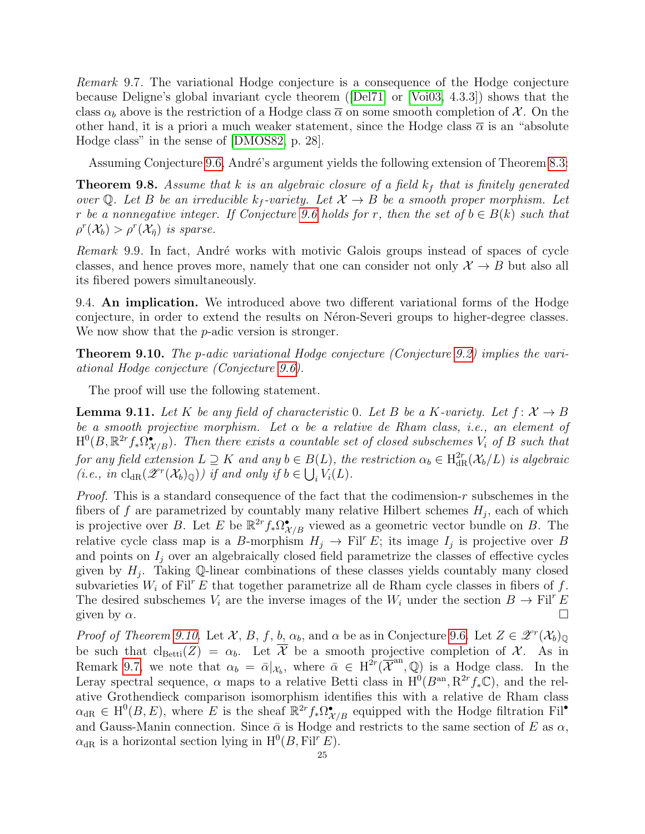<span id="page-24-1"></span>Remark 9.7. The variational Hodge conjecture is a consequence of the Hodge conjecture because Deligne's global invariant cycle theorem ([\[Del71\]](#page-26-17) or [\[Voi03,](#page-28-3) 4.3.3]) shows that the class  $\alpha_b$  above is the restriction of a Hodge class  $\overline{\alpha}$  on some smooth completion of X. On the other hand, it is a priori a much weaker statement, since the Hodge class  $\bar{\alpha}$  is an "absolute Hodge class" in the sense of [\[DMOS82,](#page-26-20) p. 28].

Assuming Conjecture [9.6,](#page-23-1) André's argument yields the following extension of Theorem [8.3:](#page-20-1)

**Theorem 9.8.** Assume that  $k$  is an algebraic closure of a field  $k_f$  that is finitely generated over Q. Let B be an irreducible  $k_f$ -variety. Let  $\mathcal{X} \to B$  be a smooth proper morphism. Let r be a nonnegative integer. If Conjecture [9.6](#page-23-1) holds for r, then the set of  $b \in B(k)$  such that  $\rho^r(\mathcal{X}_b) > \rho^r(\mathcal{X}_{\bar{\eta}})$  is sparse.

*Remark* 9.9. In fact, André works with motivic Galois groups instead of spaces of cycle classes, and hence proves more, namely that one can consider not only  $\mathcal{X} \to B$  but also all its fibered powers simultaneously.

9.4. An implication. We introduced above two different variational forms of the Hodge conjecture, in order to extend the results on Néron-Severi groups to higher-degree classes. We now show that the *p*-adic version is stronger.

<span id="page-24-0"></span>Theorem 9.10. The p-adic variational Hodge conjecture (Conjecture [9.2\)](#page-23-0) implies the variational Hodge conjecture (Conjecture [9.6\)](#page-23-1).

The proof will use the following statement.

<span id="page-24-2"></span>**Lemma 9.11.** Let K be any field of characteristic 0. Let B be a K-variety. Let  $f: \mathcal{X} \to B$ be a smooth projective morphism. Let  $\alpha$  be a relative de Rham class, i.e., an element of  $\text{H}^0(B,\mathbb{R}^{2r}f_*\Omega^{\bullet}_{\mathcal{X}/B})$ . Then there exists a countable set of closed subschemes  $V_i$  of B such that for any field extension  $L \supseteq K$  and any  $b \in B(L)$ , the restriction  $\alpha_b \in \text{H}^{2r}_\text{dR}(\mathcal{X}_b/L)$  is algebraic (*i.e.*, in  $\text{cl}_{\text{dR}}(\mathscr{Z}^r(\mathcal{X}_b)_{\mathbb{Q}})$ ) if and only if  $b \in \bigcup_i V_i(L)$ .

*Proof.* This is a standard consequence of the fact that the codimension-r subschemes in the fibers of f are parametrized by countably many relative Hilbert schemes  $H_j$ , each of which is projective over B. Let E be  $\mathbb{R}^{2r} f_* \Omega_{\mathcal{X}/B}^{\bullet}$  viewed as a geometric vector bundle on B. The relative cycle class map is a B-morphism  $H_j \to \text{Fil}^r E$ ; its image  $I_j$  is projective over B and points on  $I_i$  over an algebraically closed field parametrize the classes of effective cycles given by  $H_j$ . Taking Q-linear combinations of these classes yields countably many closed subvarieties  $W_i$  of Fil<sup>r</sup> E that together parametrize all de Rham cycle classes in fibers of f. The desired subschemes  $V_i$  are the inverse images of the  $W_i$  under the section  $B \to \text{Fil}^r E$ given by  $\alpha$ .

Proof of Theorem [9.10.](#page-24-0) Let  $\mathcal{X}, B, f, b, \alpha_b$ , and  $\alpha$  be as in Conjecture [9.6.](#page-23-1) Let  $Z \in \mathscr{Z}^r(\mathcal{X}_b)_{\mathbb{Q}}$ be such that  $cl_{Betti}(Z) = \alpha_b$ . Let  $\overline{\mathcal{X}}$  be a smooth projective completion of X. As in Remark [9.7,](#page-24-1) we note that  $\alpha_b = \bar{\alpha}|_{\mathcal{X}_b}$ , where  $\bar{\alpha} \in H^{2r}(\overline{\mathcal{X}}^{an}, \mathbb{Q})$  is a Hodge class. In the Leray spectral sequence,  $\alpha$  maps to a relative Betti class in  $H^0(B^{an}, R^{2r} f_*\mathbb{C})$ , and the relative Grothendieck comparison isomorphism identifies this with a relative de Rham class  $\alpha_{\text{dR}} \in H^0(B, E)$ , where E is the sheaf  $\mathbb{R}^{2r} f_* \Omega^{\bullet}_{\mathcal{X}/B}$  equipped with the Hodge filtration Fil<sup>•</sup> and Gauss-Manin connection. Since  $\bar{\alpha}$  is Hodge and restricts to the same section of E as  $\alpha$ ,  $\alpha_{\text{dR}}$  is a horizontal section lying in  $H^0(B, Fil^r E)$ .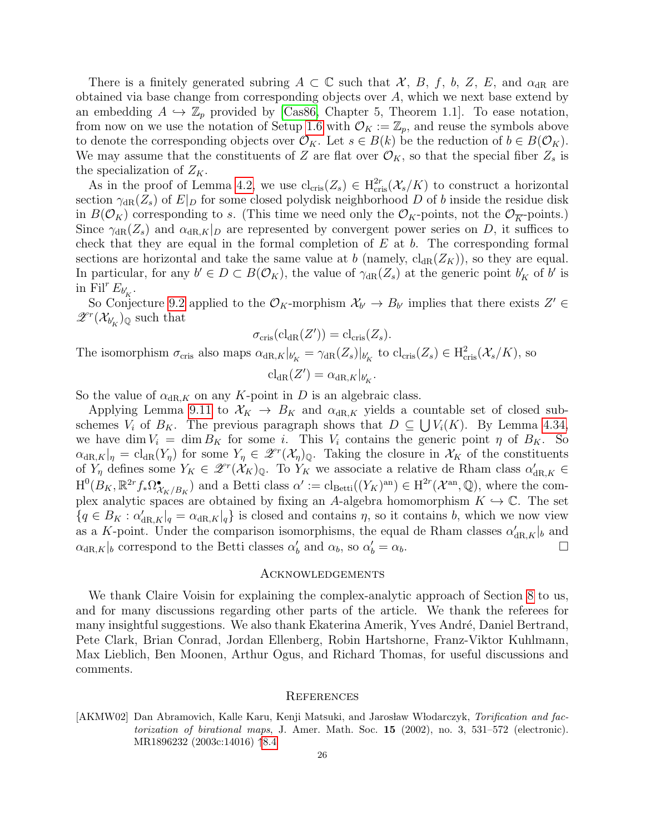There is a finitely generated subring  $A \subset \mathbb{C}$  such that X, B, f, b, Z, E, and  $\alpha_{dR}$  are obtained via base change from corresponding objects over A, which we next base extend by an embedding  $A \hookrightarrow \mathbb{Z}_p$  provided by [\[Cas86,](#page-26-15) Chapter 5, Theorem 1.1]. To ease notation, from now on we use the notation of Setup [1.6](#page-1-1) with  $\mathcal{O}_K := \mathbb{Z}_p$ , and reuse the symbols above to denote the corresponding objects over  $\mathcal{O}_K$ . Let  $s \in B(k)$  be the reduction of  $b \in B(\mathcal{O}_K)$ . We may assume that the constituents of Z are flat over  $\mathcal{O}_K$ , so that the special fiber  $Z_s$  is the specialization of  $Z_K$ .

As in the proof of Lemma [4.2,](#page-8-0) we use  $cl_{\text{cris}}(Z_s) \in H_{\text{cris}}^{2r}(\mathcal{X}_s/K)$  to construct a horizontal section  $\gamma_{\text{dR}}(Z_s)$  of  $E|_D$  for some closed polydisk neighborhood D of b inside the residue disk in  $B(\mathcal{O}_K)$  corresponding to s. (This time we need only the  $\mathcal{O}_K$ -points, not the  $\mathcal{O}_{\overline{K}}$ -points.) Since  $\gamma_{\text{dR}}(Z_s)$  and  $\alpha_{\text{dR},K}|_D$  are represented by convergent power series on D, it suffices to check that they are equal in the formal completion of  $E$  at  $b$ . The corresponding formal sections are horizontal and take the same value at b (namely,  $cl_{dR}(Z_K)$ ), so they are equal. In particular, for any  $b' \in D \subset B(\mathcal{O}_K)$ , the value of  $\gamma_{dR}(Z_s)$  at the generic point  $b'_K$  of  $b'$  is in Fil<sup>r</sup>  $E_{b_K'}$ .

So Conjecture [9.2](#page-23-0) applied to the  $\mathcal{O}_K$ -morphism  $\mathcal{X}_{b'} \to B_{b'}$  implies that there exists  $Z' \in$  $\mathscr{Z}^r(\mathcal{X}_{b_K'})_{\mathbb{Q}}$  such that

$$
\sigma_{\mathrm{cris}}(\mathrm{cl}_{\mathrm{dR}}(Z')) = \mathrm{cl}_{\mathrm{cris}}(Z_s).
$$

The isomorphism  $\sigma_{\text{cris}}$  also maps  $\alpha_{\text{dR},K}|_{b'_{K}} = \gamma_{\text{dR}}(Z_s)|_{b'_{K}}$  to  $\text{cl}_{\text{cris}}(Z_s) \in \text{H}_{\text{cris}}^2(\mathcal{X}_s/K)$ , so

$$
\mathrm{cl}_{\mathrm{dR}}(Z') = \alpha_{\mathrm{dR},K}|_{b'_K}
$$

.

So the value of  $\alpha_{\text{dR},K}$  on any K-point in D is an algebraic class.

Applying Lemma [9.11](#page-24-2) to  $\mathcal{X}_K \to B_K$  and  $\alpha_{dR,K}$  yields a countable set of closed subschemes  $V_i$  of  $B_K$ . The previous paragraph shows that  $D \subseteq \bigcup V_i(K)$ . By Lemma [4.34,](#page-15-0) we have dim  $V_i = \dim B_K$  for some i. This  $V_i$  contains the generic point  $\eta$  of  $B_K$ . So  $\alpha_{\text{dR},K}|_{\eta} = \text{cl}_{\text{dR}}(Y_{\eta})$  for some  $Y_{\eta} \in \mathscr{Z}^r(\mathcal{X}_{\eta})_{\mathbb{Q}}$ . Taking the closure in  $\mathcal{X}_K$  of the constituents of  $Y_{\eta}$  defines some  $Y_K \in \mathscr{Z}^r(\mathcal{X}_K)_{\mathbb{Q}}$ . To  $Y_K$  we associate a relative de Rham class  $\alpha'_{\mathrm{dR},K} \in$  $H^0(B_K, \mathbb{R}^{2r} f_* \Omega^{\bullet}_{\mathcal{X}_K/B_K})$  and a Betti class  $\alpha' := \text{cl}_{\text{Betti}}((Y_K)^{\text{an}}) \in H^{2r}(\mathcal{X}^{\text{an}}, \mathbb{Q})$ , where the complex analytic spaces are obtained by fixing an A-algebra homomorphism  $K \hookrightarrow \mathbb{C}$ . The set  ${q \in B_K : \alpha'_{dR,K}|_q = \alpha_{dR,K}|_q}$  is closed and contains  $\eta$ , so it contains b, which we now view as a K-point. Under the comparison isomorphisms, the equal de Rham classes  $\alpha'_{dR,K}|_b$  and  $\alpha_{\text{dR},K}|_b$  correspond to the Betti classes  $\alpha'_b$  and  $\alpha_b$ , so  $\alpha'_b = \alpha_b$ .

#### Acknowledgements

We thank Claire Voisin for explaining the complex-analytic approach of Section [8](#page-19-0) to us, and for many discussions regarding other parts of the article. We thank the referees for many insightful suggestions. We also thank Ekaterina Amerik, Yves André, Daniel Bertrand, Pete Clark, Brian Conrad, Jordan Ellenberg, Robin Hartshorne, Franz-Viktor Kuhlmann, Max Lieblich, Ben Moonen, Arthur Ogus, and Richard Thomas, for useful discussions and comments.

#### **REFERENCES**

<span id="page-25-0"></span>[AKMW02] Dan Abramovich, Kalle Karu, Kenji Matsuki, and Jarosław Włodarczyk, Torification and factorization of birational maps, J. Amer. Math. Soc. 15 (2002), no. 3, 531–572 (electronic). MR1896232 (2003c:14016) ↑[8.4](#page-20-5)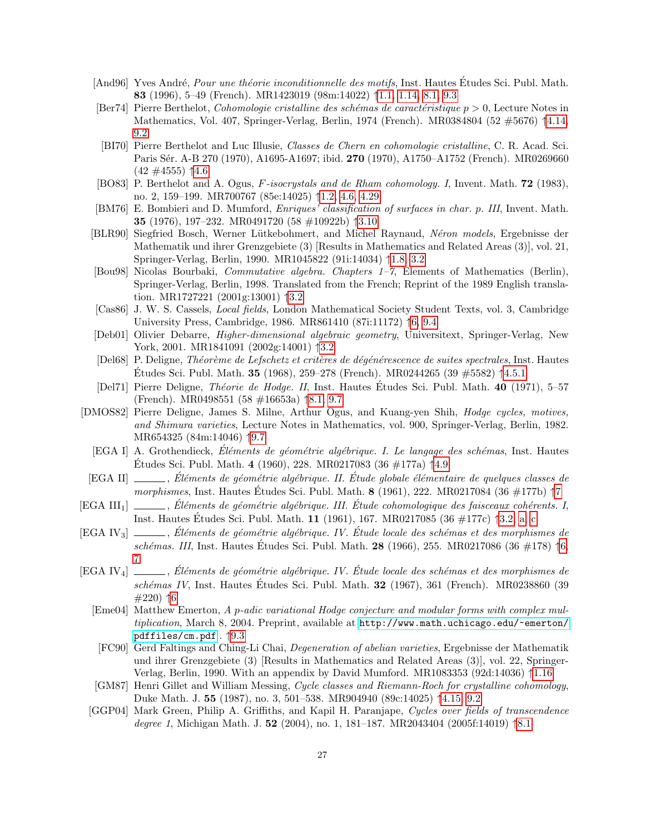- <span id="page-26-0"></span>[And96] Yves André, *Pour une théorie inconditionnelle des motifs*, Inst. Hautes Études Sci. Publ. Math. 83 (1996), 5–49 (French). MR1423019 (98m:14022) ↑[1.1,](#page-0-1) [1.14,](#page-3-1) [8.1,](#page-20-5) [9.3](#page-23-2)
- <span id="page-26-9"></span>[Ber74] Pierre Berthelot, *Cohomologie cristalline des schémas de caractéristique p*  $> 0$ , Lecture Notes in Mathematics, Vol. 407, Springer-Verlag, Berlin, 1974 (French). MR0384804 (52 #5676) ↑[4.14,](#page-10-4) [9.2](#page-23-3)
- <span id="page-26-12"></span>[BI70] Pierre Berthelot and Luc Illusie, Classes de Chern en cohomologie cristalline, C. R. Acad. Sci. Paris Sér. A-B 270 (1970), A1695-A1697; ibid. 270 (1970), A1750-A1752 (French). MR0269660  $(42 \#4555)$  ↑[4.6](#page-13-2)
- <span id="page-26-1"></span>[BO83] P. Berthelot and A. Ogus, F-isocrystals and de Rham cohomology. I, Invent. Math. 72 (1983), no. 2, 159–199. MR700767 (85e:14025) ↑[1.2,](#page-1-0) [4.6,](#page-13-2) [4.29](#page-13-4)
- <span id="page-26-7"></span>[BM76] E. Bombieri and D. Mumford, Enriques' classification of surfaces in char. p. III, Invent. Math. 35 (1976), 197–232. MR0491720 (58 #10922b) ↑[3.10](#page-7-2)
- <span id="page-26-2"></span>[BLR90] Siegfried Bosch, Werner Lütkebohmert, and Michel Raynaud, Néron models, Ergebnisse der Mathematik und ihrer Grenzgebiete (3) [Results in Mathematics and Related Areas (3)], vol. 21, Springer-Verlag, Berlin, 1990. MR1045822 (91i:14034) ↑[1.8,](#page-1-2) [3.2](#page-5-3)
- <span id="page-26-6"></span>[Bou98] Nicolas Bourbaki, Commutative algebra. Chapters 1–7, Elements of Mathematics (Berlin), Springer-Verlag, Berlin, 1998. Translated from the French; Reprint of the 1989 English translation. MR1727221 (2001g:13001) ↑[3.2](#page-5-1)
- <span id="page-26-15"></span>[Cas86] J. W. S. Cassels, Local fields, London Mathematical Society Student Texts, vol. 3, Cambridge University Press, Cambridge, 1986. MR861410 (87i:11172) ↑[6,](#page-18-2) [9.4](#page-24-2)
- <span id="page-26-4"></span>[Deb01] Olivier Debarre, *Higher-dimensional algebraic geometry*, Universitext, Springer-Verlag, New York, 2001. MR1841091 (2002g:14001) ↑[3.2](#page-5-2)
- <span id="page-26-11"></span>[Del68] P. Deligne, Théorème de Lefschetz et critères de dégénérescence de suites spectrales, Inst. Hautes Etudes Sci. Publ. Math. 35 (1968), 259–278 (French). MR0244265 (39  $\#5582$ )  $\uparrow$ [4.5.1](#page-11-2)
- <span id="page-26-17"></span>[Del71] Pierre Deligne, *Théorie de Hodge. II*, Inst. Hautes Études Sci. Publ. Math. **40** (1971), 5–57 (French). MR0498551 (58 #16653a) ↑[8.1,](#page-20-5) [9.7](#page-24-1)
- <span id="page-26-20"></span>[DMOS82] Pierre Deligne, James S. Milne, Arthur Ogus, and Kuang-yen Shih, *Hodge cycles, motives*, and Shimura varieties, Lecture Notes in Mathematics, vol. 900, Springer-Verlag, Berlin, 1982. MR654325 (84m:14046) ↑[9.7](#page-24-1)
	- [EGA I] A. Grothendieck, Éléments de géométrie algébrique. I. Le langage des schémas, Inst. Hautes Études Sci. Publ. Math. 4 (1960), 228. MR0217083 (36 #177a) †[4.9](#page-9-4)
- <span id="page-26-16"></span><span id="page-26-8"></span>[EGA II] , Eléments de géométrie algébrique. II. Étude globale élémentaire de quelques classes de morphismes, Inst. Hautes Études Sci. Publ. Math.  $8$  (1961), 222. MR021[7](#page-19-2)084 (36 #177b) †7
- <span id="page-26-5"></span> $[\text{EGA III}_1] \ \_\_\_\_\$ , Éléments de géométrie algébrique. III. Étude cohomologique des faisceaux cohérents. I, Inst. Hautes Études Sci. Publ. Math.  $11$  (1961), 167. MR0217085 (36 #177c) †[3.2,](#page-5-1) [a,](#page-8-2) [c](#page-8-3)
- <span id="page-26-13"></span> $[EGA IV_3]$  , Eléments de géométrie algébrique. IV. Étude locale des schémas et des morphismes de schémas. III, Inst. Hautes Études Sci. Publ. Math.  $28$  (1966), 255. MR0217086 (36 #178)  $\uparrow$ [6,](#page-18-2) [7](#page-19-2)
- <span id="page-26-19"></span><span id="page-26-18"></span><span id="page-26-14"></span><span id="page-26-10"></span><span id="page-26-3"></span> $[EGA IV_4] \longrightarrow$ , Eléments de géométrie algébrique. IV. Étude locale des schémas et des morphismes de schémas IV, Inst. Hautes Études Sci. Publ. Math.  $32$  (1967), 361 (French). MR0238860 (39  $#220)$  ↑[6](#page-18-2)
	- [Eme04] Matthew Emerton, A p-adic variational Hodge conjecture and modular forms with complex multiplication, March 8, 2004. Preprint, available at [http://www.math.uchicago.edu/~emerton/](http://www.math.uchicago.edu/~emerton/pdffiles/cm.pdf) [pdffiles/cm.pdf](http://www.math.uchicago.edu/~emerton/pdffiles/cm.pdf) . ↑[9.3](#page-23-4)
	- [FC90] Gerd Faltings and Ching-Li Chai, Degeneration of abelian varieties, Ergebnisse der Mathematik und ihrer Grenzgebiete (3) [Results in Mathematics and Related Areas (3)], vol. 22, Springer-Verlag, Berlin, 1990. With an appendix by David Mumford. MR1083353 (92d:14036) ↑[1.16](#page-3-2)
	- [GM87] Henri Gillet and William Messing, Cycle classes and Riemann-Roch for crystalline cohomology, Duke Math. J. 55 (1987), no. 3, 501–538. MR904940 (89c:14025) ↑[4.15,](#page-10-2) [9.2](#page-23-3)
	- [GGP04] Mark Green, Philip A. Griffiths, and Kapil H. Paranjape, Cycles over fields of transcendence degree 1, Michigan Math. J. 52 (2004), no. 1, 181–187. MR2043404 (2005f:14019) ↑[8.1](#page-20-5)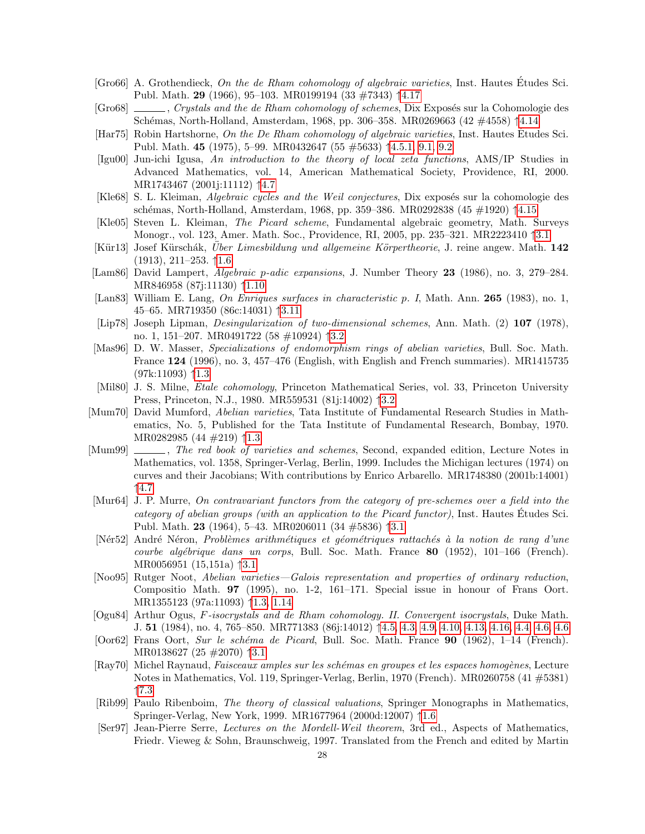- <span id="page-27-16"></span>[Gro66] A. Grothendieck, On the de Rham cohomology of algebraic varieties, Inst. Hautes Etudes Sci. ´ Publ. Math. 29 (1966), 95–103. MR0199194 (33 #7343) ↑[4.17](#page-10-5)
- <span id="page-27-14"></span> $[Gr 68]$  , Crystals and the de Rham cohomology of schemes, Dix Exposés sur la Cohomologie des Sch´emas, North-Holland, Amsterdam, 1968, pp. 306–358. MR0269663 (42 #4558) ↑[4.14](#page-10-4)
- <span id="page-27-17"></span>[Har75] Robin Hartshorne, On the De Rham cohomology of algebraic varieties, Inst. Hautes Études Sci. Publ. Math. 45 (1975), 5–99. MR0432647 (55 #5633) ↑[4.5.1,](#page-10-5) [9.1,](#page-22-2) [9.2](#page-23-3)
- <span id="page-27-19"></span>[Igu00] Jun-ichi Igusa, An introduction to the theory of local zeta functions, AMS/IP Studies in Advanced Mathematics, vol. 14, American Mathematical Society, Providence, RI, 2000. MR1743467 (2001j:11112) ↑[4.7](#page-15-0)
- <span id="page-27-15"></span>[Kle68] S. L. Kleiman, Algebraic cycles and the Weil conjectures, Dix exposés sur la cohomologie des schémas, North-Holland, Amsterdam, 1968, pp. 359–386. MR0292838 (45 #1920) †[4.15](#page-10-2)
- <span id="page-27-9"></span>[Kle05] Steven L. Kleiman, The Picard scheme, Fundamental algebraic geometry, Math. Surveys Monogr., vol. 123, Amer. Math. Soc., Providence, RI, 2005, pp. 235–321. MR2223410 ↑[3.1](#page-5-0)
- <span id="page-27-0"></span>[Kür13] Josef Kürschák, Uber Limesbildung und allgemeine Körpertheorie, J. reine angew. Math.  $142$ (1913), 211–253. ↑[1.6](#page-1-1)
- <span id="page-27-2"></span>[Lam86] David Lampert, *Algebraic p-adic expansions*, J. Number Theory 23 (1986), no. 3, 279–284. MR846958 (87j:11130) ↑[1.10](#page-2-1)
- <span id="page-27-12"></span>[Lan83] William E. Lang, On Enriques surfaces in characteristic p. I, Math. Ann. 265 (1983), no. 1, 45–65. MR719350 (86c:14031) ↑[3.11](#page-7-3)
- <span id="page-27-10"></span>[Lip78] Joseph Lipman, Desingularization of two-dimensional schemes, Ann. Math. (2) 107 (1978), no. 1, 151–207. MR0491722 (58 #10924) ↑[3.2](#page-5-1)
- <span id="page-27-4"></span>[Mas96] D. W. Masser, Specializations of endomorphism rings of abelian varieties, Bull. Soc. Math. France 124 (1996), no. 3, 457–476 (English, with English and French summaries). MR1415735 (97k:11093) ↑[1.3](#page-2-2)
- <span id="page-27-11"></span>[Mil80] J. S. Milne, Étale cohomology, Princeton Mathematical Series, vol. 33, Princeton University Press, Princeton, N.J., 1980. MR559531 (81j:14002) ↑[3.2](#page-6-3)
- <span id="page-27-5"></span>[Mum70] David Mumford, Abelian varieties, Tata Institute of Fundamental Research Studies in Mathematics, No. 5, Published for the Tata Institute of Fundamental Research, Bombay, 1970. MR0282985 (44 #219) ↑[1.3](#page-2-0)
- <span id="page-27-18"></span>[Mum99] , The red book of varieties and schemes, Second, expanded edition, Lecture Notes in Mathematics, vol. 1358, Springer-Verlag, Berlin, 1999. Includes the Michigan lectures (1974) on curves and their Jacobians; With contributions by Enrico Arbarello. MR1748380 (2001b:14001) ↑[4.7](#page-15-0)
- <span id="page-27-7"></span>[Mur64] J. P. Murre, On contravariant functors from the category of pre-schemes over a field into the category of abelian groups (with an application to the Picard functor), Inst. Hautes Etudes Sci. ´ Publ. Math. 23 (1964), 5–43. MR0206011 (34 #5836) ↑[3.1](#page-5-0)
- <span id="page-27-6"></span>[Nér52] André Néron, Problèmes arithmétiques et géométriques rattachés à la notion de rang d'une courbe algébrique dans un corps, Bull. Soc. Math. France  $80$  (1952), 101–166 (French). MR0056951 (15,151a) ↑[3.1](#page-4-2)
- <span id="page-27-3"></span>[Noo95] Rutger Noot, Abelian varieties—Galois representation and properties of ordinary reduction, Compositio Math. 97 (1995), no. 1-2, 161–171. Special issue in honour of Frans Oort. MR1355123 (97a:11093) ↑[1.3,](#page-2-2) [1.14](#page-3-1)
- <span id="page-27-13"></span>[Ogu84] Arthur Ogus, F-isocrystals and de Rham cohomology. II. Convergent isocrystals, Duke Math. J. 51 (1984), no. 4, 765–850. MR771383 (86j:14012) ↑[4.5,](#page-8-6) [4.3,](#page-9-5) [4.9,](#page-9-4) [4.10,](#page-9-6) [4.13,](#page-9-2) [4.16, 4.4,](#page-10-0) [4.6,](#page-13-2) [4.6](#page-13-5)
- <span id="page-27-8"></span>[Oor62] Frans Oort, Sur le schéma de Picard, Bull. Soc. Math. France 90 (1962), 1–14 (French). MR0138627 (25 #2070) ↑[3.1](#page-5-0)
- <span id="page-27-20"></span>[Ray70] Michel Raynaud, Faisceaux amples sur les schémas en groupes et les espaces homogènes, Lecture Notes in Mathematics, Vol. 119, Springer-Verlag, Berlin, 1970 (French). MR0260758 (41 #5381) ↑[7.3](#page-19-3)
- <span id="page-27-1"></span>[Rib99] Paulo Ribenboim, The theory of classical valuations, Springer Monographs in Mathematics, Springer-Verlag, New York, 1999. MR1677964 (2000d:12007) ↑[1.6](#page-1-1)
- <span id="page-27-21"></span>[Ser97] Jean-Pierre Serre, Lectures on the Mordell-Weil theorem, 3rd ed., Aspects of Mathematics, Friedr. Vieweg & Sohn, Braunschweig, 1997. Translated from the French and edited by Martin